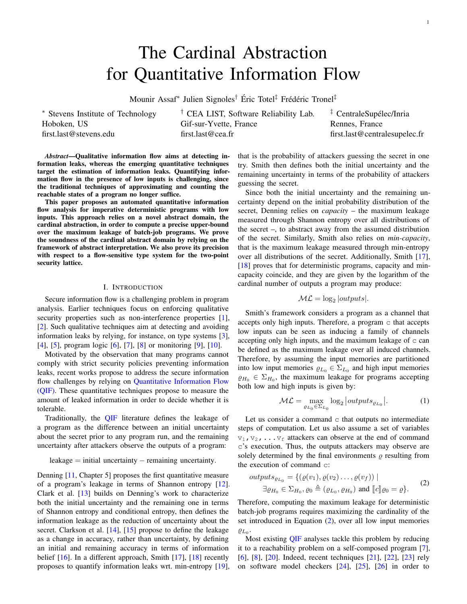# <span id="page-0-1"></span>The Cardinal Abstraction for Quantitative Information Flow

Mounir Assaf\* Julien Signoles<sup>†</sup> Éric Totel<sup>‡</sup> Frédéric Tronel<sup>‡</sup>

<sup>∗</sup> Stevens Institute of Technology Hoboken, US first.last@stevens.edu

† CEA LIST, Software Reliability Lab. Gif-sur-Yvette, France first.last@cea.fr

<sup>‡</sup> CentraleSupélec/Inria Rennes, France first.last@centralesupelec.fr

*Abstract*—Qualitative information flow aims at detecting information leaks, whereas the emerging quantitative techniques target the estimation of information leaks. Quantifying information flow in the presence of low inputs is challenging, since the traditional techniques of approximating and counting the reachable states of a program no longer suffice.

This paper proposes an automated quantitative information flow analysis for imperative deterministic programs with low inputs. This approach relies on a novel abstract domain, the cardinal abstraction, in order to compute a precise upper-bound over the maximum leakage of batch-job programs. We prove the soundness of the cardinal abstract domain by relying on the framework of abstract interpretation. We also prove its precision with respect to a flow-sensitive type system for the two-point security lattice.

## I. INTRODUCTION

Secure information flow is a challenging problem in program analysis. Earlier techniques focus on enforcing qualitative security properties such as non-interference properties [\[1\]](#page-9-0), [\[2\]](#page-9-1). Such qualitative techniques aim at detecting and avoiding information leaks by relying, for instance, on type systems [\[3\]](#page-9-2), [\[4\]](#page-9-3), [\[5\]](#page-9-4), program logic [\[6\]](#page-9-5), [\[7\]](#page-9-6), [\[8\]](#page-9-7) or monitoring [\[9\]](#page-9-8), [\[10\]](#page-9-9).

Motivated by the observation that many programs cannot comply with strict security policies preventing information leaks, recent works propose to address the secure information flow challenges by relying on Quantitative Information Flow (QIF). These quantitative techniques propose to measure the amount of leaked information in order to decide whether it is tolerable.

Traditionally, the **QIF** literature defines the leakage of a program as the difference between an initial uncertainty about the secret prior to any program run, and the remaining uncertainty after attackers observe the outputs of a program:

# leakage = initial uncertainty − remaining uncertainty.

Denning [\[11,](#page-9-10) Chapter 5] proposes the first quantitative measure of a program's leakage in terms of Shannon entropy [\[12\]](#page-9-11). Clark et al. [\[13\]](#page-9-12) builds on Denning's work to characterize both the initial uncertainty and the remaining one in terms of Shannon entropy and conditional entropy, then defines the information leakage as the reduction of uncertainty about the secret. Clarkson et al. [\[14\]](#page-9-13), [\[15\]](#page-9-14) propose to define the leakage as a change in accuracy, rather than uncertainty, by defining an initial and remaining accuracy in terms of information belief  $[16]$ . In a different approach, Smith  $[17]$ ,  $[18]$  recently proposes to quantify information leaks wrt. min-entropy [\[19\]](#page-10-3), that is the probability of attackers guessing the secret in one try. Smith then defines both the initial uncertainty and the remaining uncertainty in terms of the probability of attackers guessing the secret.

Since both the initial uncertainty and the remaining uncertainty depend on the initial probability distribution of the secret, Denning relies on *capacity* – the maximum leakage measured through Shannon entropy over all distributions of the secret –, to abstract away from the assumed distribution of the secret. Similarly, Smith also relies on *min-capacity*, that is the maximum leakage measured through min-entropy over all distributions of the secret. Additionally, Smith [\[17\]](#page-10-1), [\[18\]](#page-10-2) proves that for deterministic programs, capacity and mincapacity coincide, and they are given by the logarithm of the cardinal number of outputs a program may produce:

$$
\mathcal{ML} = \log_2|\text{outputs}|.
$$

Smith's framework considers a program as a channel that accepts only high inputs. Therefore, a program c that accepts low inputs can be seen as inducing a family of channels accepting only high inputs, and the maximum leakage of  $\sigma$  can be defined as the maximum leakage over all induced channels. Therefore, by assuming the input memories are partitioned into low input memories  $\rho_{L_0} \in \Sigma_{L_0}$  and high input memories  $\rho_{H_0} \in \Sigma_{H_0}$ , the maximum leakage for programs accepting both low and high inputs is given by:

<span id="page-0-2"></span><span id="page-0-0"></span>
$$
\mathcal{ML} = \max_{\varrho_{L_0} \in \Sigma_{L_0}} \log_2 \left| \text{outputs}_{\varrho_{L_0}} \right|.
$$
 (1)

Let us consider a command  $\circ$  that outputs no intermediate steps of computation. Let us also assume a set of variables  $v_1, v_2, \ldots v_f$  attackers can observe at the end of command c's execution. Thus, the outputs attackers may observe are solely determined by the final environments  $\rho$  resulting from the execution of command c:

$$
outputs_{\varrho_{L_0}} = \{ (\varrho(v_1), \varrho(v_2) \dots, \varrho(v_f)) \mid
$$
  
\n
$$
\exists \varrho_{H_0} \in \Sigma_{H_0}, \varrho_0 \triangleq (\varrho_{L_0}, \varrho_{H_0}) \text{ and } [c] \varrho_0 = \varrho \}.
$$
 (2)

Therefore, computing the maximum leakage for deterministic batch-job programs requires maximizing the cardinality of the set introduced in Equation [\(2\)](#page-0-0), over all low input memories  $\varrho_{L_0}$ .

Most existing QIF analyses tackle this problem by reducing it to a reachability problem on a self-composed program [\[7\]](#page-9-6), [\[6\]](#page-9-5), [\[8\]](#page-9-7), [\[20\]](#page-10-4). Indeed, recent techniques [\[21\]](#page-10-5), [\[22\]](#page-10-6), [\[23\]](#page-10-7) rely on software model checkers [\[24\]](#page-10-8), [\[25\]](#page-10-9), [\[26\]](#page-10-10) in order to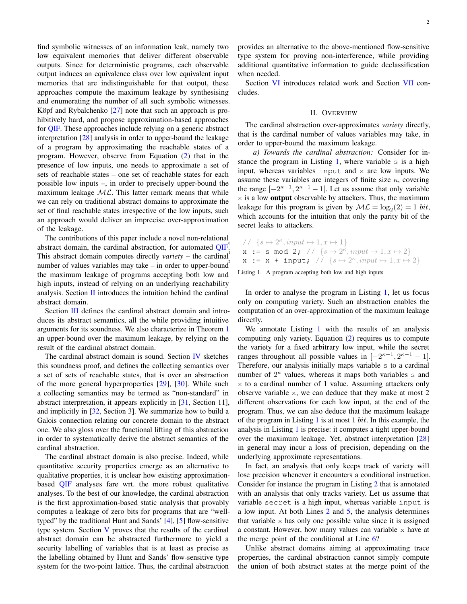find symbolic witnesses of an information leak, namely two low equivalent memories that deliver different observable outputs. Since for deterministic programs, each observable output induces an equivalence class over low equivalent input memories that are indistinguishable for that output, these approaches compute the maximum leakage by synthesising and enumerating the number of all such symbolic witnesses. Köpf and Rybalchenko  $[27]$  $[27]$  note that such an approach is prohibitively hard, and propose approximation-based approaches for [QIF.](#page-0-1) These approaches include relying on a generic abstract interpretation [\[28\]](#page-10-12) analysis in order to upper-bound the leakage of a program by approximating the reachable states of a program. However, observe from Equation [\(2\)](#page-0-0) that in the presence of low inputs, one needs to approximate a set of sets of reachable states – one set of reachable states for each possible low inputs –, in order to precisely upper-bound the maximum leakage  $ML$ . This latter remark means that while we can rely on traditional abstract domains to approximate the set of final reachable states irrespective of the low inputs, such an approach would deliver an imprecise over-approximation of the leakage.

The contributions of this paper include a novel non-relational abstract domain, the cardinal abstraction, for automated [QIF.](#page-0-1) This abstract domain computes directly *variety* – the cardinal number of values variables may take – in order to upper-bound the maximum leakage of programs accepting both low and high inputs, instead of relying on an underlying reachability analysis. Section  $\Pi$  introduces the intuition behind the cardinal abstract domain.

Section [III](#page-2-0) defines the cardinal abstract domain and introduces its abstract semantics, all the while providing intuitive arguments for its soundness. We also characterize in Theorem [1](#page-5-0) an upper-bound over the maximum leakage, by relying on the result of the cardinal abstract domain.

The cardinal abstract domain is sound. Section [IV](#page-5-1) sketches this soundness proof, and defines the collecting semantics over a set of sets of reachable states, that is over an abstraction of the more general hyperproperties [\[29\]](#page-10-13), [\[30\]](#page-10-14). While such a collecting semantics may be termed as "non-standard" in abstract interpretation, it appears explicitly in [\[31,](#page-10-15) Section 11], and implicitly in [\[32,](#page-10-16) Section 3]. We summarize how to build a Galois connection relating our concrete domain to the abstract one. We also gloss over the functional lifting of this abstraction in order to systematically derive the abstract semantics of the cardinal abstraction.

The cardinal abstract domain is also precise. Indeed, while quantitative security properties emerge as an alternative to qualitative properties, it is unclear how existing approximationbased [QIF](#page-0-1) analyses fare wrt. the more robust qualitative analyses. To the best of our knowledge, the cardinal abstraction is the first approximation-based static analysis that provably computes a leakage of zero bits for programs that are "welltyped" by the traditional Hunt and Sands' [\[4\]](#page-9-3), [\[5\]](#page-9-4) flow-sensitive type system. Section [V](#page-7-0) proves that the results of the cardinal abstract domain can be abstracted furthermore to yield a security labelling of variables that is at least as precise as the labelling obtained by Hunt and Sands' flow-sensitive type system for the two-point lattice. Thus, the cardinal abstraction

provides an alternative to the above-mentioned flow-sensitive type system for proving non-interference, while providing additional quantitative information to guide declassification when needed.

Section [VI](#page-8-0) introduces related work and Section [VII](#page-9-15) concludes.

## II. OVERVIEW

<span id="page-1-0"></span>The cardinal abstraction over-approximates *variety* directly, that is the cardinal number of values variables may take, in order to upper-bound the maximum leakage.

*a) Towards the cardinal abstraction:* Consider for in-stance the program in Listing [1,](#page-1-1) where variable  $s$  is a high input, whereas variables input and x are low inputs. We assume these variables are integers of finite size  $\kappa$ , covering the range  $[-2<sup>κ-1</sup>, 2<sup>κ-1</sup> - 1]$ . Let us assume that only variable  $x$  is a low **output** observable by attackers. Thus, the maximum leakage for this program is given by  $ML = \log_2(2) = 1$  bit, which accounts for the intuition that only the parity bit of the secret leaks to attackers.

<span id="page-1-1"></span>
$$
\begin{array}{ll}\n\text{A} & \text{if } s \mapsto 2^{\kappa}, \text{input} \mapsto 1, x \mapsto 1 \\
\text{A} & \text{if } x := s \mod 2; \text{if } \{s \mapsto 2^{\kappa}, \text{input} \mapsto 1, x \mapsto 2\} \\
\text{if } x := x + \text{input}; \text{if } \{s \mapsto 2^{\kappa}, \text{input} \mapsto 1, x \mapsto 2\}\n\end{array}
$$

Listing 1. A program accepting both low and high inputs

In order to analyse the program in Listing [1,](#page-1-1) let us focus only on computing variety. Such an abstraction enables the computation of an over-approximation of the maximum leakage directly.

We annotate Listing [1](#page-1-1) with the results of an analysis computing only variety. Equation [\(2\)](#page-0-0) requires us to compute the variety for a fixed arbitrary low input, while the secret ranges throughout all possible values in  $[-2<sup>κ-1</sup>, 2<sup>κ-1</sup> - 1]$ . Therefore, our analysis initially maps variable s to a cardinal number of  $2^{\kappa}$  values, whereas it maps both variables s and x to a cardinal number of 1 value. Assuming attackers only observe variable x, we can deduce that they make at most 2 different observations for each low input, at the end of the program. Thus, we can also deduce that the maximum leakage of the program in Listing [1](#page-1-1) is at most 1 bit. In this example, the analysis in Listing [1](#page-1-1) is precise: it computes a tight upper-bound over the maximum leakage. Yet, abstract interpretation [\[28\]](#page-10-12) in general may incur a loss of precision, depending on the underlying approximate representations.

In fact, an analysis that only keeps track of variety will lose precision whenever it encounters a conditional instruction. Consider for instance the program in Listing [2](#page-2-1) that is annotated with an analysis that only tracks variety. Let us assume that variable secret is a high input, whereas variable input is a low input. At both Lines [2](#page-2-2) and [5,](#page-2-3) the analysis determines that variable x has only one possible value since it is assigned a constant. However, how many values can variable x have at the merge point of the conditional at Line [6?](#page-2-4)

Unlike abstract domains aiming at approximating trace properties, the cardinal abstraction cannot simply compute the union of both abstract states at the merge point of the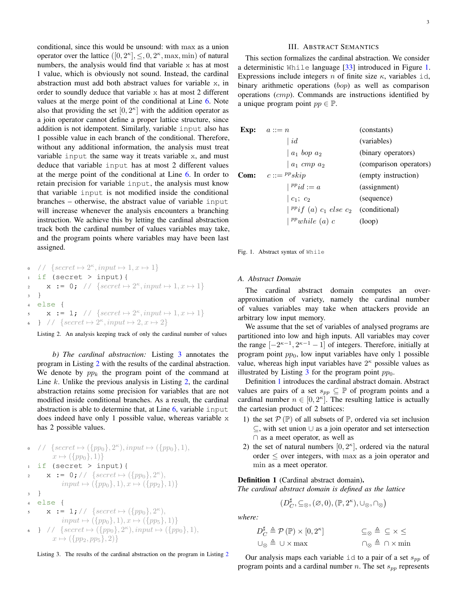conditional, since this would be unsound: with max as a union operator over the lattice  $([0, 2<sup>\kappa</sup>], \leq, 0, 2<sup>\kappa</sup>, \max, \min)$  of natural numbers, the analysis would find that variable x has at most 1 value, which is obviously not sound. Instead, the cardinal abstraction must add both abstract values for variable x, in order to soundly deduce that variable x has at most 2 different values at the merge point of the conditional at Line [6.](#page-2-4) Note also that providing the set  $[0, 2<sup>\kappa</sup>]$  with the addition operator as a join operator cannot define a proper lattice structure, since addition is not idempotent. Similarly, variable input also has 1 possible value in each branch of the conditional. Therefore, without any additional information, the analysis must treat variable input the same way it treats variable x, and must deduce that variable input has at most 2 different values at the merge point of the conditional at Line [6.](#page-2-4) In order to retain precision for variable input, the analysis must know that variable input is not modified inside the conditional branches – otherwise, the abstract value of variable input will increase whenever the analysis encounters a branching instruction. We achieve this by letting the cardinal abstraction track both the cardinal number of values variables may take, and the program points where variables may have been last assigned.

```
\bullet // \{secret \mapsto 2^{\kappa}, input \mapsto 1, x \mapsto 1\}if (secret > input) {
\mathbf{x} := \mathbf{0}; // {secret \mapsto 2^{\kappa}, input \mapsto 1, x \mapsto 1}
3 }
4 else {
\mathbf{x} := 1; \quad \text{/} \quad \{ secret \mapsto 2^{\kappa}, input \mapsto 1, x \mapsto 1\}6 } // \{secret \mapsto 2^{\kappa}, input \mapsto 2, x \mapsto 2\}
```
<span id="page-2-4"></span><span id="page-2-3"></span>Listing 2. An analysis keeping track of only the cardinal number of values

*b) The cardinal abstraction:* Listing [3](#page-2-5) annotates the program in Listing [2](#page-2-1) with the results of the cardinal abstraction. We denote by  $pp_k$  the program point of the command at Line  $k$ . Unlike the previous analysis in Listing  $2$ , the cardinal abstraction retains some precision for variables that are not modified inside conditional branches. As a result, the cardinal abstraction is able to determine that, at Line  $6$ , variable input does indeed have only 1 possible value, whereas variable x has 2 possible values.

<span id="page-2-5"></span>\n- \n
$$
\begin{array}{ll}\n & \text{if } \{secret \mapsto (\{pp_0\}, 2^{\kappa}), input \mapsto (\{pp_0\}, 1), \\
 & x \mapsto (\{pp_0\}, 1)\} \\
 & \text{if } (\text{secret > input}) \{ \text{if } x := 0; // \{secret \mapsto (\{pp_0\}, 2^{\kappa}), \\
 & input \mapsto (\{pp_0\}, 1), x \mapsto (\{pp_2\}, 1)\} \\
 & \text{else } \{ \text{if } x := 1; // \{secret \mapsto (\{pp_0\}, 2^{\kappa}), \\
 & input \mapsto (\{pp_0\}, 1), x \mapsto (\{pp_5\}, 1)\} \\
 & \text{if } \{secret \mapsto (\{pp_0\}, 2^{\kappa}), input \mapsto (\{pp_0\}, 1), \\
 & x \mapsto (\{pp_2, pp_5\}, 2)\}\n \end{array}
$$
\n
\n

<span id="page-2-6"></span>Listing 3. The results of the cardinal abstraction on the program in Listing [2](#page-2-1)

# III. ABSTRACT SEMANTICS

<span id="page-2-0"></span>This section formalizes the cardinal abstraction. We consider a deterministic While language [\[33\]](#page-10-17) introduced in Figure [1.](#page-2-7) Expressions include integers n of finite size  $\kappa$ , variables id, binary arithmetic operations (bop) as well as comparison operations (cmp). Commands are instructions identified by a unique program point  $pp \in \mathbb{P}$ .

| <b>Exp:</b> $a ::= n$                                           | (constants)            |
|-----------------------------------------------------------------|------------------------|
| $\mid id$                                                       | (variables)            |
| $ a_1$ bop $a_2$                                                | (binary operators)     |
| $a_1$ cmp $a_2$                                                 | (comparison operators) |
| <b>Com:</b> $c ::= {}^{pp}skip$                                 | (empty instruction)    |
| $\vert$ <sup>pp</sup> id := a                                   | (assignment)           |
| $\begin{bmatrix} c_1 \\ c_2 \end{bmatrix}$                      | (sequence)             |
| $\vert \,^{pp}if \, (a) \, c_1 \, else \, c_2 \,$ (conditional) |                        |
| $\vert$ <sup>pp</sup> while (a) c                               | (log                   |
|                                                                 |                        |

<span id="page-2-7"></span>Fig. 1. Abstract syntax of While

## *A. Abstract Domain*

The cardinal abstract domain computes an overapproximation of variety, namely the cardinal number of values variables may take when attackers provide an arbitrary low input memory.

We assume that the set of variables of analysed programs are partitioned into low and high inputs. All variables may cover the range  $[-2^{\kappa-1}, 2^{\kappa-1}-1]$  of integers. Therefore, initially at program point  $pp<sub>0</sub>$ , low input variables have only 1 possible value, whereas high input variables have  $2<sup>\kappa</sup>$  possible values as illustrated by Listing [3](#page-2-5) for the program point  $pp_0$ .

Definition [1](#page-2-8) introduces the cardinal abstract domain. Abstract values are pairs of a set  $s_{pp} \subseteq \mathbb{P}$  of program points and a cardinal number  $n \in [0, 2<sup>\kappa</sup>]$ . The resulting lattice is actually the cartesian product of 2 lattices:

- 1) the set  $\mathcal{P}(\mathbb{P})$  of all subsets of  $\mathbb{P}$ , ordered via set inclusion ⊆, with set union ∪ as a join operator and set intersection ∩ as a meet operator, as well as
- 2) the set of natural numbers  $[0, 2<sup>\kappa</sup>]$ , ordered via the natural order  $\leq$  over integers, with max as a join operator and min as a meet operator.

<span id="page-2-8"></span>Definition 1 (Cardinal abstract domain).

*The cardinal abstract domain is defined as the lattice*

$$
(D_{C}^{\sharp}, \subseteq_{\otimes}, (\varnothing, 0), (\mathbb{P}, 2^{\kappa}), \cup_{\otimes}, \cap_{\otimes})
$$

*where:*

$$
D_C^{\sharp} \triangleq \mathcal{P}(\mathbb{P}) \times [0, 2^{\kappa}] \qquad \qquad \subseteq_{\otimes} \triangleq \subseteq \times \leq
$$
  

$$
\cup_{\otimes} \triangleq \cup \times \max \qquad \qquad \cap_{\otimes} \triangleq \cap \times \min
$$

Our analysis maps each variable id to a pair of a set  $s_{pp}$  of program points and a cardinal number n. The set  $s_{pp}$  represents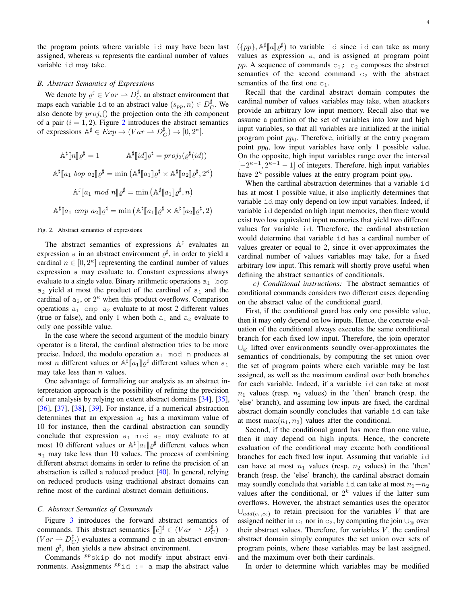the program points where variable id may have been last assigned, whereas  $n$  represents the cardinal number of values variable id may take.

# *B. Abstract Semantics of Expressions*

We denote by  $\varrho^{\sharp} \in Var \to D_C^{\sharp}$  an abstract environment that maps each variable id to an abstract value  $(s_{pp}, n) \in D_C^{\sharp}$ . We also denote by  $proj_i()$  the projection onto the *i*th component of a pair  $(i = 1, 2)$  $(i = 1, 2)$  $(i = 1, 2)$ . Figure 2 introduces the abstract semantics of expressions  $\mathbb{A}^{\sharp} \in Exp \to (Var \to D_C^{\sharp}) \to [0, 2^{\kappa}].$ 

$$
\mathbb{A}^{\sharp}[\![n]\!] \varrho^{\sharp} = 1 \qquad \mathbb{A}^{\sharp}[\![id]\!] \varrho^{\sharp} = \text{proj}_{2}(\varrho^{\sharp}(id))
$$
  

$$
\mathbb{A}^{\sharp}[\![a_{1} \text{ loop } a_{2}]\!] \varrho^{\sharp} = \min (\mathbb{A}^{\sharp}[\![a_{1}]\!] \varrho^{\sharp} \times \mathbb{A}^{\sharp}[\![a_{2}]\!] \varrho^{\sharp}, 2^{\kappa})
$$
  

$$
\mathbb{A}^{\sharp}[\![a_{1} \text{ mod } n]\!] \varrho^{\sharp} = \min (\mathbb{A}^{\sharp}[\![a_{1}]\!] \varrho^{\sharp}, n)
$$
  

$$
\mathbb{A}^{\sharp}[\![a_{1} \text{cmp } a_{2}]\!] \varrho^{\sharp} = \min (\mathbb{A}^{\sharp}[\![a_{1}]\!] \varrho^{\sharp} \times \mathbb{A}^{\sharp}[\![a_{2}]\!] \varrho^{\sharp}, 2)
$$

## <span id="page-3-0"></span>Fig. 2. Abstract semantics of expressions

The abstract semantics of expressions  $\mathbb{A}^{\sharp}$  evaluates an expression a in an abstract environment  $\varrho^{\sharp}$ , in order to yield a cardinal  $n \in [0, 2<sup>\kappa</sup>]$  representing the cardinal number of values expression a may evaluate to. Constant expressions always evaluate to a single value. Binary arithmetic operations  $a_1$  bop  $a_2$  yield at most the product of the cardinal of  $a_1$  and the cardinal of  $a_2$ , or  $2^{\kappa}$  when this product overflows. Comparison operations  $a_1$  cmp  $a_2$  evaluate to at most 2 different values (true or false), and only 1 when both  $a_1$  and  $a_2$  evaluate to only one possible value.

In the case where the second argument of the modulo binary operator is a literal, the cardinal abstraction tries to be more precise. Indeed, the modulo operation  $a_1$  mod n produces at most *n* different values or  $\mathbb{A}^{\sharp}[a_1]\varrho^{\sharp}$  different values when  $a_1$ <br>may take less than a values may take less than  $n$  values.

One advantage of formalizing our analysis as an abstract interpretation approach is the possibility of refining the precision of our analysis by relying on extent abstract domains [\[34\]](#page-10-18), [\[35\]](#page-10-19), [\[36\]](#page-10-20), [\[37\]](#page-10-21), [\[38\]](#page-10-22), [\[39\]](#page-10-23). For instance, if a numerical abstraction determines that an expression  $a_2$  has a maximum value of 10 for instance, then the cardinal abstraction can soundly conclude that expression  $a_1$  mod  $a_2$  may evaluate to at most 10 different values or  $\mathbb{A}^{\sharp}[a_1]\mathbb{Q}^{\sharp}$  different values when  $a_1$  may take less than 10 values. The process of combining different abstract domains in order to refine the precision of an abstraction is called a reduced product [\[40\]](#page-10-24). In general, relying on reduced products using traditional abstract domains can refine most of the cardinal abstract domain definitions.

## *C. Abstract Semantics of Commands*

Figure [3](#page-4-0) introduces the forward abstract semantics of commands. This abstract semantics  $\llbracket c \rrbracket^{\sharp} \in (Var \to D_{C}^{\sharp}) \to$ <br>(Van + D<sup>#</sup>) avaluates a semmand a in an abstract equipment  $(Var \rightarrow D_C^{\sharp})$  evaluates a command c in an abstract environment  $\varrho^{\sharp}$ , then yields a new abstract environment.

Commands  $^{pp}$ skip do not modify input abstract environments. Assignments  $^{pp}$  id := a map the abstract value

 $({\{pp\}}, \mathbb{A}^{\sharp}[a]\mathcal{Q}^{\sharp})$  to variable id since id can take as many values as expression a, and is assigned at program point pp. A sequence of commands  $c_1$ ;  $c_2$  composes the abstract

semantics of the first one  $c_1$ . Recall that the cardinal abstract domain computes the cardinal number of values variables may take, when attackers provide an arbitrary low input memory. Recall also that we assume a partition of the set of variables into low and high input variables, so that all variables are initialized at the initial program point  $pp<sub>0</sub>$ . Therefore, initially at the entry program point  $pp<sub>0</sub>$ , low input variables have only 1 possible value. On the opposite, high input variables range over the interval  $[-2<sup>κ-1</sup>, 2<sup>κ-1</sup> - 1]$  of integers. Therefore, high input variables have  $2^{\kappa}$  possible values at the entry program point  $pp_0$ .

semantics of the second command  $c_2$  with the abstract

When the cardinal abstraction determines that a variable id has at most 1 possible value, it also implicitly determines that variable id may only depend on low input variables. Indeed, if variable id depended on high input memories, then there would exist two low equivalent input memories that yield two different values for variable id. Therefore, the cardinal abstraction would determine that variable id has a cardinal number of values greater or equal to 2, since it over-approximates the cardinal number of values variables may take, for a fixed arbitrary low input. This remark will shortly prove useful when defining the abstract semantics of conditionals.

*c) Conditional instructions:* The abstract semantics of conditional commands considers two different cases depending on the abstract value of the conditional guard.

First, if the conditional guard has only one possible value, then it may only depend on low inputs. Hence, the concrete evaluation of the conditional always executes the same conditional branch for each fixed low input. Therefore, the join operator ∪<sup>⊗</sup> lifted over environments soundly over-approximates the semantics of conditionals, by computing the set union over the set of program points where each variable may be last assigned, as well as the maximum cardinal over both branches for each variable. Indeed, if a variable id can take at most  $n_1$  values (resp.  $n_2$  values) in the 'then' branch (resp. the 'else' branch), and assuming low inputs are fixed, the cardinal abstract domain soundly concludes that variable id can take at most  $\max(n_1, n_2)$  values after the conditional.

Second, if the conditional guard has more than one value, then it may depend on high inputs. Hence, the concrete evaluation of the conditional may execute both conditional branches for each fixed low input. Assuming that variable id can have at most  $n_1$  values (resp.  $n_2$  values) in the 'then' branch (resp. the 'else' branch), the cardinal abstract domain may soundly conclude that variable id can take at most  $n_1+n_2$ values after the conditional, or  $2^k$  values if the latter sum overflows. However, the abstract semantics uses the operator  $\cup_{add(c_1,c_2)}$  to retain precision for the variables V that are assigned neither in  $c_1$  nor in  $c_2$ , by computing the join  $\cup_{\infty}$  over their abstract values. Therefore, for variables  $V$ , the cardinal abstract domain simply computes the set union over sets of program points, where these variables may be last assigned, and the maximum over both their cardinals.

In order to determine which variables may be modified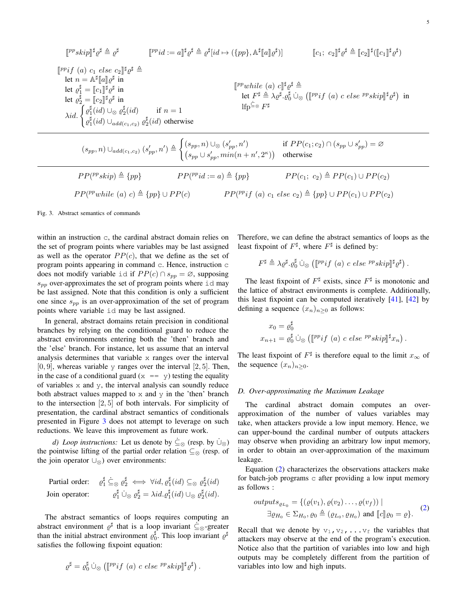$$
\begin{array}{ll}\n\left[ \begin{array}{ccccc}\n\mathbb{P}^p skip \right]^\sharp \varrho^\sharp \triangleq \varrho^\sharp & \mathbb{P}^p id := a \right]^\sharp \varrho^\sharp \triangleq \varrho^\sharp [id \mapsto (\{pp\}, \mathbb{A}^\sharp [\![a]\!] \varrho^\sharp)] & \mathbb{E}[\mathbf{c}_1; \ \mathbf{c}_2]^\sharp \varrho^\sharp \triangleq [\![\mathbf{c}_2]\!]^\sharp ([\![\mathbf{c}_1]\!]^\sharp \varrho^\sharp)\n\end{array} \\
\left[ \begin{array}{ccccc}\n\mathbb{P}^p if (a) \ c_1 \in \mathbb{A}^\sharp [\![a]\!] \varrho^\sharp \text{ in} & \mathbb{P}^p while (a) \ c_1]^\sharp \varrho^\sharp \triangleq \mathbb{E}[\mathbf{c}_2]^\sharp ([\![\mathbf{c}_1]\!]^\sharp \varrho^\sharp) & \mathbb{E}[\mathbf{c}_2]^\sharp ([\![\mathbf{c}_1]\!]^\sharp \varrho^\sharp) & \mathbb{E}[\mathbf{c}_2]^\sharp ([\![\![\mathbf{c}_1]\!]^\sharp \varrho^\sharp) & \mathbb{E}[\mathbf{c}_2]^\sharp ([\![\![\mathbf{c}_1]\!]^\sharp \varrho^\sharp) & \mathbb{E}[\mathbf{c}_2]^\sharp ([\![\![\mathbf{c}_2]\!]^\sharp \varrho^\sharp) & \mathbb{E}[\mathbf{c}_2]^\sharp ([\![\![\mathbf{c}_2]\!]^\sharp \varrho^\sharp) & \mathbb{E}[\mathbf{c}_2]^\sharp ([\![\![\mathbf{c}_2]\!]^\sharp \varrho^\sharp) & \mathbb{E}[\mathbf{c}_2]^\sharp ([\![\![\mathbf{c}_2]\!]^\sharp \varrho^\sharp) & \mathbb{E}[\mathbf{c}_2]^\sharp ([\![\![\mathbf{c}_2]\!]^\sharp \varrho^\sharp) & \mathbb{E}[\mathbf{c}_2]^\sharp ([\![\![\![\mathbf{c}_2]\!]^\sharp \varrho^\sharp) & \mathbb{E}[\mathbf{c}_2]^\sharp ([\![\![\![\mathbf{c}_2]\!]^\sharp \varrho^\sharp) & \mathbb{E}[\mathbf{c}_2]^\sharp ([\![\![\![\![\mathbf{c}_2]\!]^\sharp \varrho^\sharp)
$$

$$
PP(^{pp}while (a) c) \triangleq \{pp\} \cup PP(c) \qquad \qquad PP(^{pp}if (a) c_1 else c_2) \triangleq \{pp\} \cup PP(c_1) \cup PP(c_2)
$$

<span id="page-4-0"></span>Fig. 3. Abstract semantics of commands

within an instruction c, the cardinal abstract domain relies on the set of program points where variables may be last assigned as well as the operator  $PP(c)$ , that we define as the set of program points appearing in command c. Hence, instruction c does not modify variable id if  $PP(c) \cap s_{pp} = \emptyset$ , supposing  $s_{pp}$  over-approximates the set of program points where id may be last assigned. Note that this condition is only a sufficient one since  $s_{pp}$  is an over-approximation of the set of program points where variable id may be last assigned.

In general, abstract domains retain precision in conditional branches by relying on the conditional guard to reduce the abstract environments entering both the 'then' branch and the 'else' branch. For instance, let us assume that an interval analysis determines that variable x ranges over the interval  $[0, 9]$ , whereas variable y ranges over the interval  $[2, 5]$ . Then, in the case of a conditional guard  $(x == y)$  testing the equality of variables x and y, the interval analysis can soundly reduce both abstract values mapped to  $x$  and  $y$  in the 'then' branch to the intersection [2, 5] of both intervals. For simplicity of presentation, the cardinal abstract semantics of conditionals presented in Figure [3](#page-4-0) does not attempt to leverage on such reductions. We leave this improvement as future work.

*d) Loop instructions:* Let us denote by  $\subseteq_{\otimes}$  (resp. by  $\cup_{\otimes}$ ) the pointwise lifting of the partial order relation  $\subseteq$ <sub>⊗</sub> (resp. of the join operator ∪⊗) over environments:

Partial order: 
$$
\varrho_1^{\sharp} \subseteq_{\otimes} \varrho_2^{\sharp} \iff \forall id, \varrho_1^{\sharp}(id) \subseteq_{\otimes} \varrho_2^{\sharp}(id)
$$
  
Join operator:  $\varrho_1^{\sharp} \cup_{\otimes} \varrho_2^{\sharp} = \lambda id. \varrho_1^{\sharp}(id) \cup_{\otimes} \varrho_2^{\sharp}(id)$ .

The abstract semantics of loops requires computing an abstract environment  $\varrho^{\sharp}$  that is a loop invariant  $\dot{\subseteq}_{\otimes}$ -greater than the initial abstract environment  $\varrho_0^{\sharp}$ . This loop invariant  $\varrho^{\sharp}$ satisfies the following fixpoint equation:

$$
\varrho^{\sharp} = \varrho^{\sharp}_0 \dot{\cup}_{\otimes} ([\mathbb{P}^p if (a) c else \mathbb{P}^p skip]]^{\sharp} \varrho^{\sharp}).
$$

Therefore, we can define the abstract semantics of loops as the least fixpoint of  $F^{\sharp}$ , where  $F^{\sharp}$  is defined by:

$$
F^{\sharp} \triangleq \lambda \varrho^{\sharp} \cdot \varrho_0^{\sharp} \cup_{\otimes} ([\mathbb{P}^p if (a) c else \mathbb{P}^p skip] ]^{\sharp} \varrho^{\sharp}).
$$

The least fixpoint of  $F^{\sharp}$  exists, since  $F^{\sharp}$  is monotonic and the lattice of abstract environments is complete. Additionally, this least fixpoint can be computed iteratively  $[41]$ ,  $[42]$  by defining a sequence  $(x_n)_{n\geq 0}$  as follows:

$$
x_0 = \varrho_0^{\sharp}
$$
  

$$
x_{n+1} = \varrho_0^{\sharp} \dot{\cup}_{\otimes} ([\mathbb{P}^p if (a) c else \mathbb{P}^p skip] ]^{\sharp} x_n).
$$

The least fixpoint of  $F^{\sharp}$  is therefore equal to the limit  $x_{\infty}$  of the sequence  $(x_n)_{n\geq 0}$ .

# *D. Over-approximating the Maximum Leakage*

The cardinal abstract domain computes an overapproximation of the number of values variables may take, when attackers provide a low input memory. Hence, we can upper-bound the cardinal number of outputs attackers may observe when providing an arbitrary low input memory, in order to obtain an over-approximation of the maximum leakage.

Equation [\(2\)](#page-0-0) characterizes the observations attackers make for batch-job programs c after providing a low input memory as follows :

$$
outputs_{\varrho_{L_0}} = \{ (\varrho(v_1), \varrho(v_2) \dots, \varrho(v_f)) \mid \newline \exists \varrho_{H_0} \in \Sigma_{H_0}, \varrho_0 \triangleq (\varrho_{L_0}, \varrho_{H_0}) \text{ and } [c] \varrho_0 = \varrho \}.
$$
 (2)

Recall that we denote by  $v_1, v_2, \ldots v_f$  the variables that attackers may observe at the end of the program's execution. Notice also that the partition of variables into low and high outputs may be completely different from the partition of variables into low and high inputs.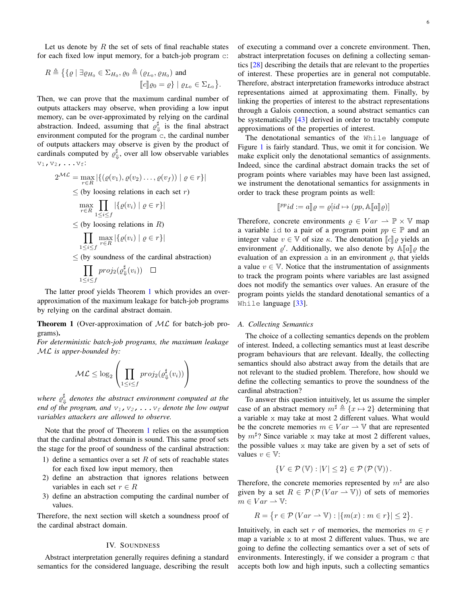Let us denote by  $R$  the set of sets of final reachable states for each fixed low input memory, for a batch-job program c:

$$
R \triangleq \{ \{ \varrho \mid \exists \varrho_{H_0} \in \Sigma_{H_0}, \varrho_0 \triangleq (\varrho_{L_0}, \varrho_{H_0}) \text{ and } \llbracket c \rrbracket \varrho_0 = \varrho \} \mid \varrho_{L_0} \in \Sigma_{L_0} \}.
$$

Then, we can prove that the maximum cardinal number of outputs attackers may observe, when providing a low input memory, can be over-approximated by relying on the cardinal abstraction. Indeed, assuming that  $\varrho^{\sharp}_{\psi}$  is the final abstract environment computed for the program c, the cardinal number of outputs attackers may observe is given by the product of cardinals computed by  $\varrho_{\Downarrow}^{\sharp}$ , over all low observable variables  $v_1, v_2, \ldots v_f$ :

$$
2^{\mathcal{ML}} = \max_{r \in R} |\{ (\varrho(v_1), \varrho(v_2) \dots, \varrho(v_f)) | \varrho \in r \}|
$$
  
\n
$$
\leq \text{(by losing relations in each set } r\text{)}
$$
  
\n
$$
\max_{r \in R} \prod_{1 \leq i \leq f} |\{\varrho(v_i) | \varrho \in r \}|
$$
  
\n
$$
\leq \text{(by losing relations in } R\text{)}
$$
  
\n
$$
\prod_{1 \leq i \leq f} \max_{r \in R} |\{\varrho(v_i) | \varrho \in r \}|\text{}
$$
  
\n
$$
\leq \text{(by soundness of the cardinal abstraction)}
$$
  
\n
$$
\prod_{1 \leq i \leq f} \text{proj}_2(\varrho_{\Downarrow}^{\sharp}(v_i)) \square
$$

The latter proof yields Theorem [1](#page-5-0) which provides an overapproximation of the maximum leakage for batch-job programs by relying on the cardinal abstract domain.

<span id="page-5-0"></span>**Theorem 1** (Over-approximation of  $ML$  for batch-job programs).

*For deterministic batch-job programs, the maximum leakage* ML *is upper-bounded by:*

$$
\mathcal{ML} \leq \log_2 \left( \prod_{1 \leq i \leq f} \text{proj}_2(\varrho_{\Downarrow}^{\sharp}(v_i)) \right)
$$

where  $\varrho_{\Downarrow}^{\sharp}$  denotes the abstract environment computed at the *end of the program, and*  $v_1$ ,  $v_2$ ,  $\ldots$   $v_f$  *denote the low output variables attackers are allowed to observe.*

Note that the proof of Theorem [1](#page-5-0) relies on the assumption that the cardinal abstract domain is sound. This same proof sets the stage for the proof of soundness of the cardinal abstraction:

- 1) define a semantics over a set  $R$  of sets of reachable states for each fixed low input memory, then
- 2) define an abstraction that ignores relations between variables in each set  $r \in R$
- 3) define an abstraction computing the cardinal number of values.

Therefore, the next section will sketch a soundness proof of the cardinal abstract domain.

# IV. SOUNDNESS

<span id="page-5-1"></span>Abstract interpretation generally requires defining a standard semantics for the considered language, describing the result 6

of executing a command over a concrete environment. Then, abstract interpretation focuses on defining a collecting semantics [\[28\]](#page-10-12) describing the details that are relevant to the properties of interest. These properties are in general not computable. Therefore, abstract interpretation frameworks introduce abstract representations aimed at approximating them. Finally, by linking the properties of interest to the abstract representations through a Galois connection, a sound abstract semantics can be systematically [\[43\]](#page-10-27) derived in order to tractably compute approximations of the properties of interest.

The denotational semantics of the While language of Figure [1](#page-2-7) is fairly standard. Thus, we omit it for concision. We make explicit only the denotational semantics of assignments. Indeed, since the cardinal abstract domain tracks the set of program points where variables may have been last assigned, we instrument the denotational semantics for assignments in order to track these program points as well:

$$
\llbracket^{pp}id := a \rrbracket \varrho = \varrho [id \mapsto (pp, \mathbb{A}[\![a]\!] \varrho)]
$$

Therefore, concrete environments  $\rho \in Var \to \mathbb{P} \times \mathbb{V}$  map a variable id to a pair of a program point  $pp \in \mathbb{P}$  and an integer value  $v \in V$  of size  $\kappa$ . The denotation  $\llbracket c \rrbracket \varrho$  yields an environment  $\varrho'$ . Additionally, we also denote by  $\mathbb{A}[[a]]\varrho$  the evaluation of an expression a in an environment  $\varrho$  that vields evaluation of an expression a in an environment  $\rho$ , that yields a value  $v \in V$ . Notice that the instrumentation of assignments to track the program points where variables are last assigned does not modify the semantics over values. An erasure of the program points yields the standard denotational semantics of a While language [\[33\]](#page-10-17).

## <span id="page-5-2"></span>*A. Collecting Semantics*

The choice of a collecting semantics depends on the problem of interest. Indeed, a collecting semantics must at least describe program behaviours that are relevant. Ideally, the collecting semantics should also abstract away from the details that are not relevant to the studied problem. Therefore, how should we define the collecting semantics to prove the soundness of the cardinal abstraction?

To answer this question intuitively, let us assume the simpler case of an abstract memory  $m^{\sharp} \triangleq \{x \mapsto 2\}$  determining that a variable x may take at most 2 different values. What would be the concrete memories  $m \in Var \rightarrow \mathbb{V}$  that are represented by  $m^{\sharp}$ ? Since variable x may take at most 2 different values, the possible values x may take are given by a set of sets of values  $v \in \mathbb{V}$ :

$$
\{V \in \mathcal{P}(\mathbb{V}): |V| \leq 2\} \in \mathcal{P}(\mathcal{P}(\mathbb{V})).
$$

Therefore, the concrete memories represented by  $m^{\sharp}$  are also given by a set  $R \in \mathcal{P}(\mathcal{P}(Var \rightarrow V))$  of sets of memories  $m \in Var \rightharpoonup V$ :

$$
R = \{ r \in \mathcal{P} \left( Var \rightharpoonup \mathbb{V} \right) : |\{ m(x) : m \in r \}| \le 2 \}.
$$

Intuitively, in each set r of memories, the memories  $m \in r$ map a variable x to at most 2 different values. Thus, we are going to define the collecting semantics over a set of sets of environments. Interestingly, if we consider a program  $\circ$  that accepts both low and high inputs, such a collecting semantics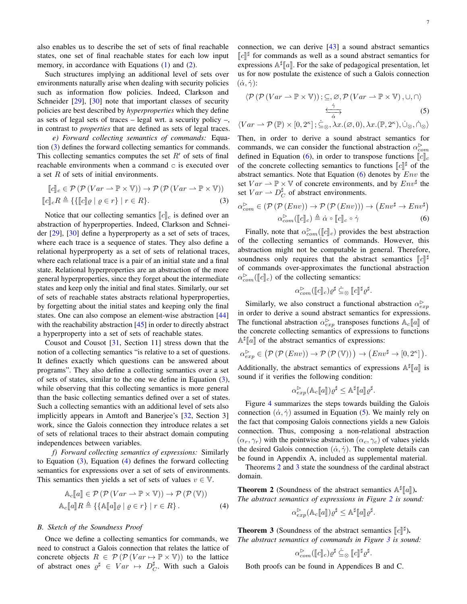also enables us to describe the set of sets of final reachable states, one set of final reachable states for each low input memory, in accordance with Equations [\(1\)](#page-0-2) and [\(2\)](#page-0-0).

Such structures implying an additional level of sets over environments naturally arise when dealing with security policies such as information flow policies. Indeed, Clarkson and Schneider [\[29\]](#page-10-13), [\[30\]](#page-10-14) note that important classes of security policies are best described by *hyperproperties* which they define as sets of legal sets of traces – legal wrt. a security policy –, in contrast to *properties* that are defined as sets of legal traces.

*e) Forward collecting semantics of commands:* Equation [\(3\)](#page-6-0) defines the forward collecting semantics for commands. This collecting semantics computes the set  $R'$  of sets of final reachable environments when a command  $\circ$  is executed over a set R of sets of initial environments.

$$
[c]_c \in \mathcal{P}(\mathcal{P}(Var \to \mathbb{P} \times \mathbb{V})) \to \mathcal{P}(\mathcal{P}(Var \to \mathbb{P} \times \mathbb{V}))
$$
  

$$
[c]_c R \triangleq \{ \{ [c] \varrho \mid \varrho \in r \} \mid r \in R \}.
$$
 (3)

Notice that our collecting semantics  $\llbracket c \rrbracket_c$  is defined over an abstraction of hyperproperties. Indeed, Clarkson and Schneider [\[29\]](#page-10-13), [\[30\]](#page-10-14) define a hyperproperty as a set of sets of traces, where each trace is a sequence of states. They also define a relational hyperproperty as a set of sets of relational traces, where each relational trace is a pair of an initial state and a final state. Relational hyperproperties are an abstraction of the more general hyperproperties, since they forget about the intermediate states and keep only the initial and final states. Similarly, our set of sets of reachable states abstracts relational hyperproperties, by forgetting about the initial states and keeping only the final states. One can also compose an element-wise abstraction [\[44\]](#page-10-28) with the reachability abstraction  $[45]$  in order to directly abstract a hyperproperty into a set of sets of reachable states.

Cousot and Cousot [\[31,](#page-10-15) Section 11] stress down that the notion of a collecting semantics "is relative to a set of questions. It defines exactly which questions can be answered about programs". They also define a collecting semantics over a set of sets of states, similar to the one we define in Equation [\(3\)](#page-6-0), while observing that this collecting semantics is more general than the basic collecting semantics defined over a set of states. Such a collecting semantics with an additional level of sets also implicitly appears in Amtoft and Banerjee's [\[32,](#page-10-16) Section 3] work, since the Galois connection they introduce relates a set of sets of relational traces to their abstract domain computing independences between variables.

*f) Forward collecting semantics of expressions:* Similarly to Equation  $(3)$ , Equation  $(4)$  defines the forward collecting semantics for expressions over a set of sets of environments. This semantics then yields a set of sets of values  $v \in \mathbb{V}$ .

$$
\mathbb{A}_{c}[\![a]\!] \in \mathcal{P} \left( \mathcal{P} \left( Var \rightharpoonup \mathbb{P} \times \mathbb{V} \right) \right) \to \mathcal{P} \left( \mathcal{P} \left( \mathbb{V} \right) \right)
$$
\n
$$
\mathbb{A}_{c}[\![a]\!] R \triangleq \{ \{ \mathbb{A}[\![a]\!] \varrho \mid \varrho \in r \} \mid r \in R \}. \tag{4}
$$

## *B. Sketch of the Soundness Proof*

Once we define a collecting semantics for commands, we need to construct a Galois connection that relates the lattice of concrete objects  $R \in \mathcal{P}(\mathcal{P}(Var \mapsto \mathbb{P} \times \mathbb{V}))$  to the lattice of abstract ones  $\varrho^{\sharp} \in Var \mapsto D_C^{\sharp}$ . With such a Galois

connection, we can derive [\[43\]](#page-10-27) a sound abstract semantics  $\llbracket c \rrbracket^{\sharp}$  for commands as well as a sound abstract semantics for<br>expressions  $\mathbb{A}^{\sharp}\llbracket c \rrbracket$ . For the sake of pedagogical presentation, let expressions  $\mathbb{A}^{\sharp}[a]$ . For the sake of pedagogical presentation, let us for now postulate the existence of such a Galois connection us for now postulate the existence of such a Galois connection  $(\dot{\alpha}, \dot{\gamma})$ :

<span id="page-6-3"></span>
$$
\langle \mathcal{P}(\mathcal{P}(Var \rightarrow \mathbb{P} \times \mathbb{V})); \subseteq, \varnothing, \mathcal{P}(Var \rightarrow \mathbb{P} \times \mathbb{V}), \cup, \cap \rangle
$$
\n
$$
\xrightarrow{\check{\gamma}} \qquad (5)
$$

$$
\langle Var \rightarrow \mathcal{P}(\mathbb{P}) \times [0, 2\kappa] ; \dot{\subseteq}_{\otimes}, \lambda x. (\emptyset, 0), \lambda x. (\mathbb{P}, 2\kappa), \dot{\cup}_{\otimes}, \dot{\cap}_{\otimes} \rangle
$$

Then, in order to derive a sound abstract semantics for commands, we can consider the functional abstraction  $\alpha_{com}^{\triangleright}$ defined in Equation [\(6\)](#page-6-2), in order to transpose functions  $\llbracket c \rrbracket_c$ of the concrete collecting semantics to functions  $\llbracket c \rrbracket^{\sharp}$  of the obstract semantics. Note that Equation (6) denotes by Equation abstract semantics. Note that Equation  $(6)$  denotes by  $Env$  the set  $Var \rightharpoonup \mathbb{P} \times \mathbb{V}$  of concrete environments, and by  $Env^{\sharp}$  the set  $Var \rightharpoonup D_C^{\sharp}$  of abstract environments.

<span id="page-6-0"></span>
$$
\alpha_{com}^{\triangleright} \in (\mathcal{P}(\mathcal{P}(Env)) \to \mathcal{P}(\mathcal{P}(Env))) \to (Env^{\sharp} \to Env^{\sharp})
$$

$$
\alpha_{com}^{\triangleright}([\![c]\!]_c) \triangleq \dot{\alpha} \circ [\![c]\!]_c \circ \dot{\gamma}
$$
(6)

Finally, note that  $\alpha_{com}^{\infty}([\![c]\!]_c)$  provides the best abstraction<br>the collecting semantics of commands. However, this of the collecting semantics of commands. However, this abstraction might not be computable in general. Therefore, soundness only requires that the abstract semantics  $\llbracket c \rrbracket^{\sharp}$ of commands over-approximates the functional abstraction  $\alpha_{com}^{\triangleright}(\llbracket c \rrbracket_c)$  of the collecting semantics:

<span id="page-6-2"></span>
$$
\alpha_{com}^{\rhd}(\llbracket c \rrbracket_c)\varrho^{\sharp} \stackrel{\textstyle\cdot}{\subseteq}_{\otimes} \llbracket c \rrbracket^{\sharp} \varrho^{\sharp}.
$$

Similarly, we also construct a functional abstraction  $\alpha_{exp}^{\triangleright}$ in order to derive a sound abstract semantics for expressions. The functional abstraction  $\alpha_{exp}^{D}$  transposes functions  $A_c[a]$  of the concrete collecting computies of expressions to functions the concrete collecting semantics of expressions to functions  $\mathbb{A}^{\sharp}[\![a]\!]$  of the abstract semantics of expressions:

$$
\alpha_{exp}^{\rhd}\in\left(\mathcal{P}\left(\mathcal{P}\left(Env\right)\right)\to\mathcal{P}\left(\mathcal{P}\left(\mathbb{V}\right)\right)\right)\to\left(Env^{\sharp}\to\left[0,2^{\kappa}\right]\right).
$$

Additionally, the abstract semantics of expressions  $\mathbb{A}^{\sharp}[[a]]$  is sound if it verifies the following condition: sound if it verifies the following condition:

$$
\alpha_{exp}^{\triangleright}(\mathbb{A}_c[\![a]\!])\varrho^{\sharp} \leq \mathbb{A}^{\sharp}[\![a]\!]\varrho^{\sharp}.
$$

Figure [4](#page-7-1) summarizes the steps towards building the Galois connection  $(\dot{\alpha}, \dot{\gamma})$  assumed in Equation [\(5\)](#page-6-3). We mainly rely on the fact that composing Galois connections yields a new Galois connection. Thus, composing a non-relational abstraction  $(\alpha_r, \gamma_r)$  with the pointwise abstraction  $(\alpha_c, \gamma_c)$  of values yields the desired Galois connection  $(\dot{\alpha}, \dot{\gamma})$ . The complete details can be found in Appendix A, included as supplemental material.

Theorems [2](#page-6-4) and [3](#page-6-5) state the soundness of the cardinal abstract domain.

<span id="page-6-4"></span><span id="page-6-1"></span>**Theorem 2** (Soundness of the abstract semantics  $\mathbb{A}^{\sharp}[\![a]\!]$ ).<br>The abstract semantics of armassions in Figure 2 is sound *The abstract semantics of expressions in Figure [2](#page-3-0) is sound:*

$$
\alpha_{exp}^{\triangleright}(\mathbb{A}_c[\![a]\!])\varrho^{\sharp} \leq \mathbb{A}^{\sharp}[\![a]\!]\varrho^{\sharp}.
$$

<span id="page-6-5"></span>**The abstract semantics of commands in Figure 3** is sourced.<br>The abstract semantics of commands in Figure 3 is sourced. *The abstract semantics of commands in Figure [3](#page-4-0) is sound:*

$$
\alpha_{com}^{\triangleright}([\![c]\!]_c)\varrho^{\sharp} \subseteq_{\otimes} [\![c]\!]^{\sharp}\varrho^{\sharp}.
$$

Both proofs can be found in Appendices B and C.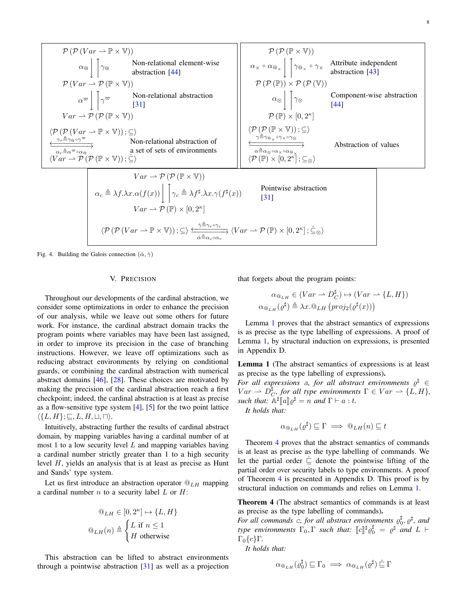$$
\mathcal{P}(\mathcal{P}(Var \rightarrow \mathbb{P} \times \mathbb{V}))
$$
\n
$$
\alpha_{\mathbb{Q}} \Big| \Big[ \gamma_{\mathbb{Q}} \qquad \text{Non-relational element-wise} \Big] \qquad \alpha_{\times} \circ \alpha_{\mathbb{Q}_{\times}} \Big[ \gamma_{\mathbb{Q}_{\times}} \circ \gamma_{\times} \text{ Artribute independent} \text{abstraction [44]}
$$
\n
$$
\mathcal{P}(Var \rightarrow \mathcal{P}(\mathbb{P} \times \mathbb{V}))
$$
\n
$$
\alpha_{\mathbb{Z}} \Big| \gamma_{\mathbb{Z}} \qquad \text{Non-relational abstraction} \qquad \alpha_{\mathbb{Q}} \Big| \gamma_{\mathbb{Q}} \qquad \text{Component-wise abstraction} \qquad \text{invariant}
$$
\n
$$
Var \rightarrow \mathcal{P}(\mathcal{P}(\mathbb{P} \times \mathbb{V})))
$$
\n
$$
\frac{\langle \mathcal{P}(\mathcal{P}(\mathbb{P} \times \mathbb{V})))}{\langle \mathcal{P}(\mathcal{P}(\mathbb{P} \times \mathbb{V}))) \rangle} \subseteq \rangle
$$
\n
$$
\frac{\langle \mathcal{P}(\mathcal{P}(\mathbb{P} \times \mathbb{V})))}{\langle \mathcal{P}(\mathcal{P}(\mathbb{P} \times \mathbb{V}))) \rangle} \subseteq \rangle
$$
\n
$$
\frac{\langle \mathcal{P}(\mathcal{P}(\mathbb{P} \times \mathbb{V})))}{\langle \mathcal{P}(\mathbb{P}(\mathbb{P} \times \mathbb{V}))) \rangle} \subseteq \rangle}{Var \rightarrow \mathcal{P}(\mathcal{P}(\mathbb{P} \times \mathbb{V})))}
$$
\n
$$
\alpha_{\mathbb{Q}} \xrightarrow{\alpha_{\mathbb{Q}} \circ \alpha_{\mathbb{Q}} \circ \alpha_{\mathbb{Q}} \circ \alpha_{\mathbb{Q}} \circ \alpha_{\mathbb{Q}}}
$$
\n
$$
\frac{\langle \mathcal{P}(\mathbb{P} \times \mathbb{V})))}{\langle \mathcal{P}(\mathbb{P}(\mathbb{P} \times \mathbb{V}))) \rangle} \subseteq \rangle
$$
\n
$$
\frac{\langle \mathcal{P}(\mathbb{P}(\mathbb{P} \times \mathbb{V})))}{\langle \mathcal{P}(\mathbb{
$$

<span id="page-7-1"></span><span id="page-7-0"></span>Fig. 4. Building the Galois connection  $(\dot{\alpha}, \dot{\gamma})$ 

#### V. PRECISION

Throughout our developments of the cardinal abstraction, we consider some optimizations in order to enhance the precision of our analysis, while we leave out some others for future work. For instance, the cardinal abstract domain tracks the program points where variables may have been last assigned, in order to improve its precision in the case of branching instructions. However, we leave off optimizations such as reducing abstract environments by relying on conditional guards, or combining the cardinal abstraction with numerical abstract domains [\[46\]](#page-10-30), [\[28\]](#page-10-12). These choices are motivated by making the precision of the cardinal abstraction reach a first checkpoint; indeed, the cardinal abstraction is at least as precise as a flow-sensitive type system [\[4\]](#page-9-3), [\[5\]](#page-9-4) for the two point lattice  $\langle \{L, H\}; \sqsubseteq, L, H, \sqcup, \sqcap \rangle.$ 

Intuitively, abstracting further the results of cardinal abstract domain, by mapping variables having a cardinal number of at most 1 to a low security level  $L$  and mapping variables having a cardinal number strictly greater than 1 to a high security level H, yields an analysis that is at least as precise as Hunt and Sands' type system.

Let us first introduce an abstraction operator  $@_{LH}$  mapping a cardinal number  $n$  to a security label  $L$  or  $H$ :

$$
\begin{aligned}\n\mathbb{Q}_{LH} \in [0, 2^{\kappa}] &\mapsto \{L, H\} \\
\mathbb{Q}_{LH}(n) &\triangleq \begin{cases}\nL \text{ if } n \le 1 \\
H \text{ otherwise}\n\end{cases}\n\end{aligned}
$$

This abstraction can be lifted to abstract environments through a pointwise abstraction [\[31\]](#page-10-15) as well as a projection that forgets about the program points:

$$
\alpha_{\mathbb{Q}_{LH}} \in (Var \to D_C^{\sharp}) \mapsto (Var \to \{L, H\})
$$
  

$$
\alpha_{\mathbb{Q}_{LH}}(\varrho^{\sharp}) \triangleq \lambda x. \mathbb{Q}_{LH} (proj_2(\varrho^{\sharp}(x)))
$$

Lemma [1](#page-7-2) proves that the abstract semantics of expressions is as precise as the type labelling of expressions. A proof of Lemma [1,](#page-7-2) by structural induction on expressions, is presented in Appendix D.

<span id="page-7-2"></span>Lemma 1 (The abstract semantics of expressions is at least as precise as the type labelling of expressions).

*For all expressions a, for all abstract environments*  $\varrho^{\sharp}$  ∈  $Var \rightharpoonup D_{C}^{\sharp}$ , for all type environments  $\Gamma \in Var \rightharpoonup \{L, H\}$ , *such that:*  $\mathbb{A}^{\sharp}[a] \rho^{\sharp} = n$  *and*  $\Gamma \vdash a : t$ *.*<br>*It holds that:* 

*It holds that:*

$$
\alpha_{\mathbb{Q}_{LH}}(\varrho^{\sharp}) \sqsubseteq \Gamma \implies \mathbb{Q}_{LH}(n) \sqsubseteq t
$$

Theorem [4](#page-7-3) proves that the abstract semantics of commands is at least as precise as the type labelling of commands. We let the partial order  $\subseteq$  denote the pointwise lifting of the partial order over security labels to type environments. A proof of Theorem [4](#page-7-3) is presented in Appendix D. This proof is by structural induction on commands and relies on Lemma [1.](#page-7-2)

<span id="page-7-3"></span>Theorem 4 (The abstract semantics of commands is at least as precise as the type labelling of commands).

For all commands c, for all abstract environments  $\varrho_0^{\sharp}, \varrho^{\sharp}$ , and *type environments*  $\Gamma_0$ ,  $\Gamma$  *such that:*  $\llbracket c \rrbracket^{\sharp} \varrho_0^{\sharp} = \varrho^{\sharp}$  *and*  $L \vdash$  $\Gamma_0$  $\{c\}$ Γ.

*It holds that:*

$$
\alpha_{\mathbb{Q}_{LH}}(\varrho_0^\sharp) \sqsubseteq \Gamma_0 \implies \alpha_{\mathbb{Q}_{LH}}(\varrho^\sharp) \dot{\sqsubseteq} \Gamma
$$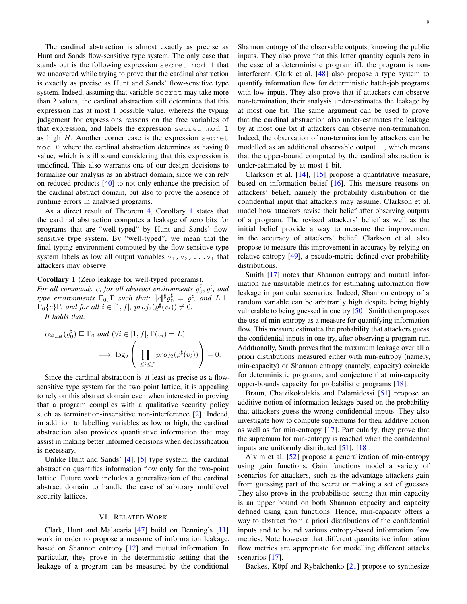The cardinal abstraction is almost exactly as precise as Hunt and Sands flow-sensitive type system. The only case that stands out is the following expression secret mod 1 that we uncovered while trying to prove that the cardinal abstraction is exactly as precise as Hunt and Sands' flow-sensitive type system. Indeed, assuming that variable secret may take more than 2 values, the cardinal abstraction still determines that this expression has at most 1 possible value, whereas the typing judgement for expressions reasons on the free variables of that expression, and labels the expression secret mod 1 as high H. Another corner case is the expression secret mod 0 where the cardinal abstraction determines as having 0 value, which is still sound considering that this expression is undefined. This also warrants one of our design decisions to formalize our analysis as an abstract domain, since we can rely on reduced products [\[40\]](#page-10-24) to not only enhance the precision of the cardinal abstract domain, but also to prove the absence of runtime errors in analysed programs.

As a direct result of Theorem [4,](#page-7-3) Corollary [1](#page-8-1) states that the cardinal abstraction computes a leakage of zero bits for programs that are "well-typed" by Hunt and Sands' flowsensitive type system. By "well-typed", we mean that the final typing environment computed by the flow-sensitive type system labels as low all output variables  $v_1, v_2, \ldots v_f$  that attackers may observe.

<span id="page-8-1"></span>Corollary 1 (Zero leakage for well-typed programs).

For all commands c, for all abstract environments  $\varrho_0^{\sharp}$ ,  $\varrho^{\sharp}$ , and *type environments*  $\Gamma_0$ ,  $\Gamma$  *such that:*  $\left[\begin{array}{c} c \end{array}\right]^\sharp c_0^\sharp = e^\sharp$ , and  $L \vdash$ <br> $\Gamma$ ,  $\left\{a\right\} \Gamma$  and for all  $i \in [1, f]$  anotic  $\left(\begin{array}{c} a^\sharp(a) \\ b \end{array}\right) \neq 0$  $\Gamma_0\{c\}\Gamma$ *, and for all*  $i \in [1, f]$ *,*  $proj_2(\varrho^{\sharp}(v_i)) \neq 0$ *.* 

*It holds that:*

$$
\alpha_{\mathbb{Q}_{LH}}(\varrho_0^{\sharp}) \sqsubseteq \Gamma_0 \text{ and } (\forall i \in [1, f], \Gamma(v_i) = L)
$$

$$
\implies \log_2 \left( \prod_{1 \le i \le f} \text{proj}_2(\varrho^{\sharp}(v_i)) \right) = 0.
$$

Since the cardinal abstraction is at least as precise as a flowsensitive type system for the two point lattice, it is appealing to rely on this abstract domain even when interested in proving that a program complies with a qualitative security policy such as termination-insensitive non-interference [\[2\]](#page-9-1). Indeed, in addition to labelling variables as low or high, the cardinal abstraction also provides quantitative information that may assist in making better informed decisions when declassification is necessary.

Unlike Hunt and Sands' [\[4\]](#page-9-3), [\[5\]](#page-9-4) type system, the cardinal abstraction quantifies information flow only for the two-point lattice. Future work includes a generalization of the cardinal abstract domain to handle the case of arbitrary multilevel security lattices.

# VI. RELATED WORK

<span id="page-8-0"></span>Clark, Hunt and Malacaria [\[47\]](#page-10-31) build on Denning's [\[11\]](#page-9-10) work in order to propose a measure of information leakage, based on Shannon entropy [\[12\]](#page-9-11) and mutual information. In particular, they prove in the deterministic setting that the leakage of a program can be measured by the conditional

Shannon entropy of the observable outputs, knowing the public inputs. They also prove that this latter quantity equals zero in the case of a deterministic program iff. the program is noninterferent. Clark et al. [\[48\]](#page-10-32) also propose a type system to quantify information flow for deterministic batch-job programs with low inputs. They also prove that if attackers can observe non-termination, their analysis under-estimates the leakage by at most one bit. The same argument can be used to prove that the cardinal abstraction also under-estimates the leakage by at most one bit if attackers can observe non-termination. Indeed, the observation of non-termination by attackers can be modelled as an additional observable output ⊥, which means that the upper-bound computed by the cardinal abstraction is under-estimated by at most 1 bit.

Clarkson et al. [\[14\]](#page-9-13), [\[15\]](#page-9-14) propose a quantitative measure, based on information belief [\[16\]](#page-10-0). This measure reasons on attackers' belief, namely the probability distribution of the confidential input that attackers may assume. Clarkson et al. model how attackers revise their belief after observing outputs of a program. The revised attackers' belief as well as the initial belief provide a way to measure the improvement in the accuracy of attackers' belief. Clarkson et al. also propose to measure this improvement in accuracy by relying on relative entropy [\[49\]](#page-10-33), a pseudo-metric defined over probability distributions.

Smith [\[17\]](#page-10-1) notes that Shannon entropy and mutual information are unsuitable metrics for estimating information flow leakage in particular scenarios. Indeed, Shannon entropy of a random variable can be arbitrarily high despite being highly vulnerable to being guessed in one try [\[50\]](#page-10-34). Smith then proposes the use of min-entropy as a measure for quantifying information flow. This measure estimates the probability that attackers guess the confidential inputs in one try, after observing a program run. Additionally, Smith proves that the maximum leakage over all a priori distributions measured either with min-entropy (namely, min-capacity) or Shannon entropy (namely, capacity) coincide for deterministic programs, and conjecture that min-capacity upper-bounds capacity for probabilistic programs [\[18\]](#page-10-2).

Braun, Chatzikokolakis and Palamidessi [\[51\]](#page-10-35) propose an additive notion of information leakage based on the probability that attackers guess the wrong confidential inputs. They also investigate how to compute supremums for their additive notion as well as for min-entropy [\[17\]](#page-10-1). Particularly, they prove that the supremum for min-entropy is reached when the confidential inputs are uniformly distributed [\[51\]](#page-10-35), [\[18\]](#page-10-2).

Alvim et al. [\[52\]](#page-10-36) propose a generalization of min-entropy using gain functions. Gain functions model a variety of scenarios for attackers, such as the advantage attackers gain from guessing part of the secret or making a set of guesses. They also prove in the probabilistic setting that min-capacity is an upper bound on both Shannon capacity and capacity defined using gain functions. Hence, min-capacity offers a way to abstract from a priori distributions of the confidential inputs and to bound various entropy-based information flow metrics. Note however that different quantitative information flow metrics are appropriate for modelling different attacks scenarios [\[17\]](#page-10-1).

Backes, Köpf and Rybalchenko  $[21]$  $[21]$  propose to synthesize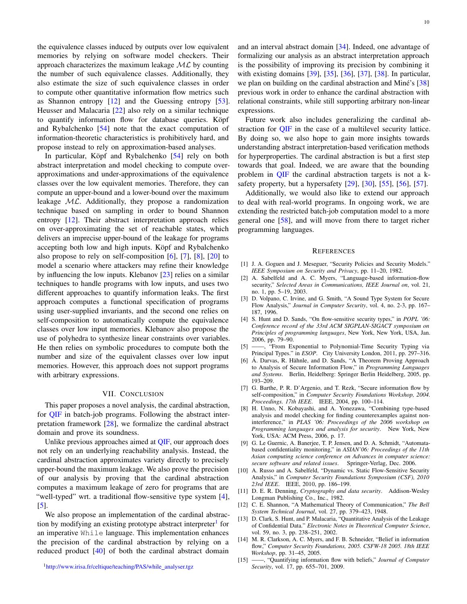the equivalence classes induced by outputs over low equivalent memories by relying on software model checkers. Their approach characterizes the maximum leakage  $ML$  by counting the number of such equivalence classes. Additionally, they also estimate the size of such equivalence classes in order to compute other quantitative information flow metrics such as Shannon entropy [\[12\]](#page-9-11) and the Guessing entropy [\[53\]](#page-10-37). Heusser and Malacaria [\[22\]](#page-10-6) also rely on a similar technique to quantify information flow for database queries. Köpf and Rybalchenko [\[54\]](#page-10-38) note that the exact computation of information-theoretic characteristics is prohibitively hard, and propose instead to rely on approximation-based analyses.

In particular, Köpf and Rybalchenko [[54\]](#page-10-38) rely on both abstract interpretation and model checking to compute overapproximations and under-approximations of the equivalence classes over the low equivalent memories. Therefore, they can compute an upper-bound and a lower-bound over the maximum leakage  $ML$ . Additionally, they propose a randomization technique based on sampling in order to bound Shannon entropy [\[12\]](#page-9-11). Their abstract interpretation approach relies on over-approximating the set of reachable states, which delivers an imprecise upper-bound of the leakage for programs accepting both low and high inputs. Köpf and Rybalchenko also propose to rely on self-composition [\[6\]](#page-9-5), [\[7\]](#page-9-6), [\[8\]](#page-9-7), [\[20\]](#page-10-4) to model a scenario where attackers may refine their knowledge by influencing the low inputs. Klebanov [\[23\]](#page-10-7) relies on a similar techniques to handle programs with low inputs, and uses two different approaches to quantify information leaks. The first approach computes a functional specification of programs using user-supplied invariants, and the second one relies on self-composition to automatically compute the equivalence classes over low input memories. Klebanov also propose the use of polyhedra to synthesize linear constraints over variables. He then relies on symbolic procedures to compute both the number and size of the equivalent classes over low input memories. However, this approach does not support programs with arbitrary expressions.

# VII. CONCLUSION

<span id="page-9-15"></span>This paper proposes a novel analysis, the cardinal abstraction, for [QIF](#page-0-1) in batch-job programs. Following the abstract interpretation framework [\[28\]](#page-10-12), we formalize the cardinal abstract domain and prove its soundness.

Unlike previous approaches aimed at [QIF,](#page-0-1) our approach does not rely on an underlying reachability analysis. Instead, the cardinal abstraction approximates variety directly to precisely upper-bound the maximum leakage. We also prove the precision of our analysis by proving that the cardinal abstraction computes a maximum leakage of zero for programs that are "well-typed" wrt. a traditional flow-sensitive type system [\[4\]](#page-9-3), [\[5\]](#page-9-4).

<span id="page-9-16"></span>We also propose an implementation of the cardinal abstrac-tion by modifying an existing prototype abstract interpreter<sup>[1](#page-9-16)</sup> for an imperative While language. This implementation enhances the precision of the cardinal abstraction by relying on a reduced product [\[40\]](#page-10-24) of both the cardinal abstract domain

and an interval abstract domain [\[34\]](#page-10-18). Indeed, one advantage of formalizing our analysis as an abstract interpretation approach is the possibility of improving its precision by combining it with existing domains [\[39\]](#page-10-23), [\[35\]](#page-10-19), [\[36\]](#page-10-20), [\[37\]](#page-10-21), [\[38\]](#page-10-22). In particular, we plan on building on the cardinal abstraction and Miné's [[38\]](#page-10-22) previous work in order to enhance the cardinal abstraction with relational constraints, while still supporting arbitrary non-linear expressions.

Future work also includes generalizing the cardinal abstraction for [QIF](#page-0-1) in the case of a multilevel security lattice. By doing so, we also hope to gain more insights towards understanding abstract interpretation-based verification methods for hyperproperties. The cardinal abstraction is but a first step towards that goal. Indeed, we are aware that the bounding problem in [QIF](#page-0-1) the cardinal abstraction targets is not a ksafety property, but a hypersafety [\[29\]](#page-10-13), [\[30\]](#page-10-14), [\[55\]](#page-10-39), [\[56\]](#page-10-40), [\[57\]](#page-10-41).

Additionally, we would also like to extend our approach to deal with real-world programs. In ongoing work, we are extending the restricted batch-job computation model to a more general one [\[58\]](#page-10-42), and will move from there to target richer programming languages.

#### **REFERENCES**

- <span id="page-9-0"></span>[1] J. A. Goguen and J. Meseguer, "Security Policies and Security Models." *IEEE Symposium on Security and Privacy*, pp. 11–20, 1982.
- <span id="page-9-1"></span>[2] A. Sabelfeld and A. C. Myers, "Language-based information-flow security," *Selected Areas in Communications, IEEE Journal on*, vol. 21, no. 1, pp. 5–19, 2003.
- <span id="page-9-2"></span>[3] D. Volpano, C. Irvine, and G. Smith, "A Sound Type System for Secure Flow Analysis," *Journal in Computer Security*, vol. 4, no. 2-3, pp. 167– 187, 1996.
- <span id="page-9-3"></span>[4] S. Hunt and D. Sands, "On flow-sensitive security types," in *POPL '06: Conference record of the 33rd ACM SIGPLAN-SIGACT symposium on Principles of programming languages*, New York, New York, USA, Jan. 2006, pp. 79–90.
- <span id="page-9-4"></span>[5] ——, "From Exponential to Polynomial-Time Security Typing via Principal Types." in *ESOP*. City University London, 2011, pp. 297–316.
- <span id="page-9-5"></span>[6] Á. Darvas, R. Hähnle, and D. Sands, "A Theorem Proving Approach to Analysis of Secure Information Flow," in *Programming Languages and Systems*. Berlin, Heidelberg: Springer Berlin Heidelberg, 2005, pp. 193–209.
- <span id="page-9-6"></span>[7] G. Barthe, P. R. D'Argenio, and T. Rezk, "Secure information flow by self-composition," in *Computer Security Foundations Workshop, 2004. Proceedings. 17th IEEE*. IEEE, 2004, pp. 100–114.
- <span id="page-9-7"></span>[8] H. Unno, N. Kobayashi, and A. Yonezawa, "Combining type-based analysis and model checking for finding counterexamples against noninterference," in *PLAS '06: Proceedings of the 2006 workshop on Programming languages and analysis for security*. New York, New York, USA: ACM Press, 2006, p. 17.
- <span id="page-9-8"></span>[9] G. Le Guernic, A. Banerjee, T. P. Jensen, and D. A. Schmidt, "Automatabased confidentiality monitoring," in *ASIAN'06: Proceedings of the 11th Asian computing science conference on Advances in computer science: secure software and related issues*. Springer-Verlag, Dec. 2006.
- <span id="page-9-9"></span>[10] A. Russo and A. Sabelfeld, "Dynamic vs. Static Flow-Sensitive Security Analysis," in *Computer Security Foundations Symposium (CSF), 2010 23rd IEEE*. IEEE, 2010, pp. 186–199.
- <span id="page-9-10"></span>[11] D. E. R. Denning, *Cryptography and data security*. Addison-Wesley Longman Publishing Co., Inc., 1982.
- <span id="page-9-11"></span>[12] C. E. Shannon, "A Mathematical Theory of Communication," The Bell *System Technical Journal*, vol. 27, pp. 379–423, 1948.
- <span id="page-9-12"></span>[13] D. Clark, S. Hunt, and P. Malacaria, "Quantitative Analysis of the Leakage of Confidential Data." *Electronic Notes in Theoretical Computer Science*, vol. 59, no. 3, pp. 238–251, 2002.
- <span id="page-9-13"></span>[14] M. R. Clarkson, A. C. Myers, and F. B. Schneider, "Belief in information flow," *Computer Security Foundations, 2005. CSFW-18 2005. 18th IEEE Workshop*, pp. 31–45, 2005.
- <span id="page-9-14"></span>[15] ——, "Quantifying information flow with beliefs," *Journal of Computer Security*, vol. 17, pp. 655–701, 2009.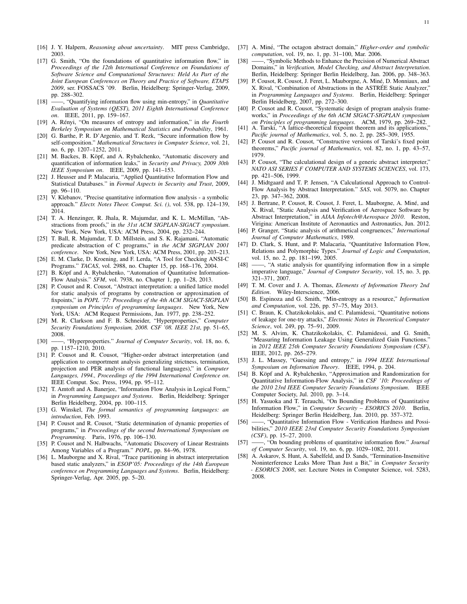- <span id="page-10-0"></span>[16] J. Y. Halpern, *Reasoning about uncertainty*. MIT press Cambridge, 2003.
- <span id="page-10-1"></span>[17] G. Smith, "On the foundations of quantitative information flow," in *Proceedings of the 12th International Conference on Foundations of Software Science and Computational Structures: Held As Part of the Joint European Conferences on Theory and Practice of Software, ETAPS 2009*, ser. FOSSACS '09. Berlin, Heidelberg: Springer-Verlag, 2009, pp. 288–302.
- <span id="page-10-2"></span>[18] ——, "Quantifying information flow using min-entropy," in *Quantitative Evaluation of Systems (QEST), 2011 Eighth International Conference on*. IEEE, 2011, pp. 159–167.
- <span id="page-10-3"></span>[19] A. Rényi, "On measures of entropy and information," in the Fourth *Berkeley Symposium on Mathematical Statistics and Probability*, 1961.
- <span id="page-10-4"></span>[20] G. Barthe, P. R. D'Argenio, and T. Rezk, "Secure information flow by self-composition." *Mathematical Structures in Computer Science*, vol. 21, no. 6, pp. 1207–1252, 2011.
- <span id="page-10-5"></span>[21] M. Backes, B. Köpf, and A. Rybalchenko, "Automatic discovery and quantification of information leaks," in *Security and Privacy, 2009 30th IEEE Symposium on*. IEEE, 2009, pp. 141–153.
- <span id="page-10-6"></span>[22] J. Heusser and P. Malacaria, "Applied Quantitative Information Flow and Statistical Databases." in *Formal Aspects in Security and Trust*, 2009, pp. 96–110.
- <span id="page-10-7"></span>[23] V. Klebanov, "Precise quantitative information flow analysis - a symbolic approach." *Electr. Notes Theor. Comput. Sci. ()*, vol. 538, pp. 124–139, 2014.
- <span id="page-10-8"></span>[24] T. A. Henzinger, R. Jhala, R. Majumdar, and K. L. McMillan, "Abstractions from proofs," in *the 31st ACM SIGPLAN-SIGACT symposium*. New York, New York, USA: ACM Press, 2004, pp. 232–244.
- <span id="page-10-9"></span>[25] T. Ball, R. Majumdar, T. D. Millstein, and S. K. Rajamani, "Automatic predicate abstraction of C programs," in *the ACM SIGPLAN 2001 conference*. New York, New York, USA: ACM Press, 2001, pp. 203–213.
- <span id="page-10-10"></span>[26] E. M. Clarke, D. Kroening, and F. Lerda, "A Tool for Checking ANSI-C Programs." *TACAS*, vol. 2988, no. Chapter 15, pp. 168–176, 2004.
- <span id="page-10-11"></span>[27] B. Köpf and A. Rybalchenko, "Automation of Quantitative Information-Flow Analysis." *SFM*, vol. 7938, no. Chapter 1, pp. 1–28, 2013.
- <span id="page-10-12"></span>[28] P. Cousot and R. Cousot, "Abstract interpretation: a unified lattice model for static analysis of programs by construction or approximation of fixpoints," in *POPL '77: Proceedings of the 4th ACM SIGACT-SIGPLAN symposium on Principles of programming languages*. New York, New York, USA: ACM Request Permissions, Jan. 1977, pp. 238–252.
- <span id="page-10-13"></span>[29] M. R. Clarkson and F. B. Schneider, "Hyperproperties," *Computer Security Foundations Symposium, 2008. CSF '08. IEEE 21st*, pp. 51–65, 2008.
- <span id="page-10-14"></span>[30] ——, "Hyperproperties." *Journal of Computer Security*, vol. 18, no. 6, pp. 1157–1210, 2010.
- <span id="page-10-15"></span>[31] P. Cousot and R. Cousot, "Higher-order abstract interpretation (and application to comportment analysis generalizing strictness, termination, projection and PER analysis of functional languages)," in *Computer Languages, 1994., Proceedings of the 1994 International Conference on*. IEEE Comput. Soc. Press, 1994, pp. 95–112.
- <span id="page-10-16"></span>[32] T. Amtoft and A. Banerjee, "Information Flow Analysis in Logical Form," in *Programming Languages and Systems*. Berlin, Heidelberg: Springer Berlin Heidelberg, 2004, pp. 100–115.
- <span id="page-10-17"></span>[33] G. Winskel, *The formal semantics of programming languages: an introduction*, Feb. 1993.
- <span id="page-10-18"></span>[34] P. Cousot and R. Cousot, "Static determination of dynamic properties of programs," in *Proceedings of the second International Symposium on Programming*. Paris, 1976, pp. 106–130.
- <span id="page-10-19"></span>[35] P. Cousot and N. Halbwachs, "Automatic Discovery of Linear Restraints Among Variables of a Program." *POPL*, pp. 84–96, 1978.
- <span id="page-10-20"></span>[36] L. Mauborgne and X. Rival, "Trace partitioning in abstract interpretation based static analyzers," in *ESOP'05: Proceedings of the 14th European conference on Programming Languages and Systems*. Berlin, Heidelberg: Springer-Verlag, Apr. 2005, pp. 5–20.
- <span id="page-10-21"></span>[37] A. Miné, "The octagon abstract domain," *Higher-order and symbolic computation*, vol. 19, no. 1, pp. 31–100, Mar. 2006.
- <span id="page-10-22"></span>[38] ——, "Symbolic Methods to Enhance the Precision of Numerical Abstract Domains," in *Verification, Model Checking, and Abstract Interpretation*. Berlin, Heidelberg: Springer Berlin Heidelberg, Jan. 2006, pp. 348–363.
- <span id="page-10-23"></span>[39] P. Cousot, R. Cousot, J. Feret, L. Mauborgne, A. Miné, D. Monniaux, and X. Rival, "Combination of Abstractions in the ASTREE Static Analyzer," ´ in *Programming Languages and Systems*. Berlin, Heidelberg: Springer Berlin Heidelberg, 2007, pp. 272–300.
- <span id="page-10-24"></span>[40] P. Cousot and R. Cousot, "Systematic design of program analysis frameworks," in *Proceedings of the 6th ACM SIGACT-SIGPLAN symposium on Principles of programming languages*. ACM, 1979, pp. 269–282.
- <span id="page-10-25"></span>[41] A. Tarski, "A lattice-theoretical fixpoint theorem and its applications," *Pacific journal of Mathematics*, vol. 5, no. 2, pp. 285–309, 1955.
- <span id="page-10-26"></span>[42] P. Cousot and R. Cousot, "Constructive versions of Tarski's fixed point theorems," *Pacific journal of Mathematics*, vol. 82, no. 1, pp. 43–57, 1979.
- <span id="page-10-27"></span>[43] P. Cousot, "The calculational design of a generic abstract interpreter," *NATO ASI SERIES F COMPUTER AND SYSTEMS SCIENCES*, vol. 173, pp. 421–506, 1999.
- <span id="page-10-28"></span>[44] J. Midtgaard and T. P. Jensen, "A Calculational Approach to Control-Flow Analysis by Abstract Interpretation." *SAS*, vol. 5079, no. Chapter 23, pp. 347–362, 2008.
- <span id="page-10-29"></span>[45] J. Bertrane, P. Cousot, R. Cousot, J. Feret, L. Mauborgne, A. Miné, and X. Rival, "Static Analysis and Verification of Aerospace Software by Abstract Interpretation," in *AIAA Infotech@Aerospace 2010*. Reston, Virigina: American Institute of Aeronautics and Astronautics, Jun. 2012.
- <span id="page-10-30"></span>[46] P. Granger, "Static analysis of arithmetical congruences," *International Journal of Computer Mathematics*, 1989.
- <span id="page-10-31"></span>[47] D. Clark, S. Hunt, and P. Malacaria, "Quantitative Information Flow, Relations and Polymorphic Types." *Journal of Logic and Computation*, vol. 15, no. 2, pp. 181–199, 2005.
- <span id="page-10-32"></span>[48]  $\frac{1}{2}$  ''A static analysis for quantifying information flow in a simple imperative language," *Journal of Computer Security*, vol. 15, no. 3, pp. 321–371, 2007.
- <span id="page-10-33"></span>[49] T. M. Cover and J. A. Thomas, *Elements of Information Theory 2nd Edition*. Wiley-Interscience, 2006.
- <span id="page-10-34"></span>[50] B. Espinoza and G. Smith, "Min-entropy as a resource," *Information and Computation*, vol. 226, pp. 57–75, May 2013.
- <span id="page-10-35"></span>[51] C. Braun, K. Chatzikokolakis, and C. Palamidessi, "Quantitative notions of leakage for one-try attacks," *Electronic Notes in Theoretical Computer Science*, vol. 249, pp. 75–91, 2009.
- <span id="page-10-36"></span>[52] M. S. Alvim, K. Chatzikokolakis, C. Palamidessi, and G. Smith, "Measuring Information Leakage Using Generalized Gain Functions." in *2012 IEEE 25th Computer Security Foundations Symposium (CSF)*. IEEE, 2012, pp. 265–279.
- <span id="page-10-37"></span>[53] J. L. Massey, "Guessing and entropy," in *1994 IEEE International Symposium on Information Theory*. IEEE, 1994, p. 204.
- <span id="page-10-38"></span>[54] B. Köpf and A. Rybalchenko, "Approximation and Randomization for Quantitative Information-Flow Analysis," in *CSF '10: Proceedings of the 2010 23rd IEEE Computer Security Foundations Symposium*. IEEE Computer Society, Jul. 2010, pp. 3–14.
- <span id="page-10-39"></span>[55] H. Yasuoka and T. Terauchi, "On Bounding Problems of Quantitative Information Flow," in *Computer Security – ESORICS 2010*. Berlin, Heidelberg: Springer Berlin Heidelberg, Jan. 2010, pp. 357–372.
- <span id="page-10-40"></span>[56] ——, "Quantitative Information Flow - Verification Hardness and Possibilities," *2010 IEEE 23rd Computer Security Foundations Symposium (CSF)*, pp. 15–27, 2010.
- <span id="page-10-41"></span>[57] ——, "On bounding problems of quantitative information flow." *Journal of Computer Security*, vol. 19, no. 6, pp. 1029–1082, 2011.
- <span id="page-10-42"></span>[58] A. Askarov, S. Hunt, A. Sabelfeld, and D. Sands, "Termination-Insensitive Noninterference Leaks More Than Just a Bit," in *Computer Security - ESORICS 2008*, ser. Lecture Notes in Computer Science, vol. 5283, 2008.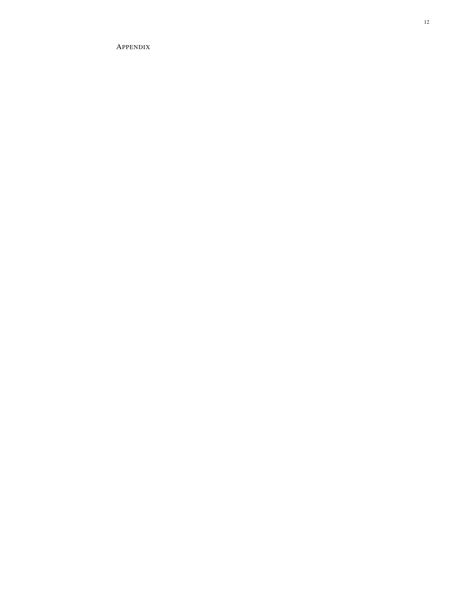APPENDIX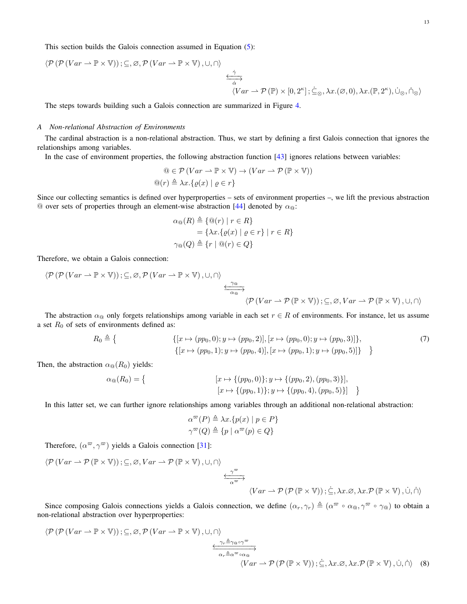This section builds the Galois connection assumed in Equation [\(5\)](#page-6-3):

$$
\langle \mathcal{P}(\mathcal{P}(Var \rightarrow \mathbb{P} \times \mathbb{V})); \subseteq, \varnothing, \mathcal{P}(Var \rightarrow \mathbb{P} \times \mathbb{V}), \cup, \cap \rangle
$$
  

$$
\xleftrightarrow{\qquad \qquad \overleftrightarrow{\alpha}} \langle Var \rightarrow \mathcal{P}(\mathbb{P}) \times [0, 2^{\kappa}] ; \dot{\subseteq}_{\otimes}, \lambda x.(\varnothing, 0), \lambda x.(\mathbb{P}, 2^{\kappa}), \dot{\cup}_{\otimes}, \dot{\cap}_{\otimes} \rangle
$$

The steps towards building such a Galois connection are summarized in Figure [4.](#page-7-1)

# *A Non-relational Abstraction of Environments*

The cardinal abstraction is a non-relational abstraction. Thus, we start by defining a first Galois connection that ignores the relationships among variables.

In the case of environment properties, the following abstraction function [\[43\]](#page-10-27) ignores relations between variables:

$$
\begin{aligned} \mathbb{Q} &\in \mathcal{P} \left( Var \to \mathbb{P} \times \mathbb{V} \right) \to \left( Var \to \mathcal{P} \left( \mathbb{P} \times \mathbb{V} \right) \right) \\ \mathbb{Q}(r) &\triangleq \lambda x. \{ \varrho(x) \mid \varrho \in r \} \end{aligned}
$$

Since our collecting semantics is defined over hyperproperties – sets of environment properties –, we lift the previous abstraction  $\omega$  over sets of properties through an element-wise abstraction [\[44\]](#page-10-28) denoted by  $\alpha_{\omega}$ :

$$
\alpha_{\mathbb{Q}}(R) \triangleq \{ \mathbb{Q}(r) \mid r \in R \}
$$
  
= 
$$
\{ \lambda x. \{ \varrho(x) \mid \varrho \in r \} \mid r \in R \}
$$
  

$$
\gamma_{\mathbb{Q}}(Q) \triangleq \{ r \mid \mathbb{Q}(r) \in Q \}
$$

Therefore, we obtain a Galois connection:

$$
\langle \mathcal{P}(\mathcal{P}(Var \rightarrow \mathbb{P} \times \mathbb{V})); \subseteq, \varnothing, \mathcal{P}(Var \rightarrow \mathbb{P} \times \mathbb{V}), \cup, \cap \rangle
$$
  

$$
\xrightarrow{\gamma_{\mathfrak{Q}}}
$$
  

$$
\langle \mathcal{P}(Var \rightarrow \mathcal{P}(\mathbb{P} \times \mathbb{V})); \subseteq, \varnothing, Var \rightarrow \mathcal{P}(\mathbb{P} \times \mathbb{V}), \cup, \cap \rangle
$$

The abstraction  $\alpha_{\text{Q}}$  only forgets relationships among variable in each set  $r \in R$  of environments. For instance, let us assume a set  $R_0$  of sets of environments defined as:

$$
R_0 \triangleq \left\{ \begin{array}{c} \{ [x \mapsto (pp_0, 0); y \mapsto (pp_0, 2)], [x \mapsto (pp_0, 0); y \mapsto (pp_0, 3)] \}, \\ \{ [x \mapsto (pp_0, 1); y \mapsto (pp_0, 4)], [x \mapsto (pp_0, 1); y \mapsto (pp_0, 5)] \} \end{array} \right\} \tag{7}
$$

Then, the abstraction  $\alpha_{\text{Q}}(R_0)$  yields:

$$
\alpha_{\mathfrak{A}}(R_0) = \left\{ \begin{aligned} [x \mapsto \{(pp_0, 0)\}; y \mapsto \{(pp_0, 2), (pp_0, 3)\}], \\ [x \mapsto \{(pp_0, 1)\}; y \mapsto \{(pp_0, 4), (pp_0, 5)\}] \end{aligned} \right\}
$$

In this latter set, we can further ignore relationships among variables through an additional non-relational abstraction:

<span id="page-12-1"></span><span id="page-12-0"></span>
$$
\alpha^{\varpi}(P) \triangleq \lambda x. \{p(x) \mid p \in P\}
$$

$$
\gamma^{\varpi}(Q) \triangleq \{p \mid \alpha^{\varpi}(p) \in Q\}
$$

Therefore,  $(\alpha^{\varpi}, \gamma^{\varpi})$  yields a Galois connection [\[31\]](#page-10-15):

$$
\langle \mathcal{P} (Var \rightarrow \mathcal{P} (\mathbb{P} \times \mathbb{V})); \subseteq, \varnothing, Var \rightarrow \mathcal{P} (\mathbb{P} \times \mathbb{V}), \cup, \cap \rangle
$$
  

$$
\xrightarrow[\alpha^{\varnothing}]{\gamma^{\varnothing}} \langle Var \rightarrow \mathcal{P} (\mathcal{P} (\mathbb{P} \times \mathbb{V})); \subseteq, \lambda x. \varnothing, \lambda x. \mathcal{P} (\mathbb{P} \times \mathbb{V}), \cup, \cap \rangle
$$

Since composing Galois connections yields a Galois connection, we define  $(\alpha_r, \gamma_r) \triangleq (\alpha^{\varpi} \circ \alpha_{\text{@}}, \gamma^{\varpi} \circ \gamma_{\text{@}})$  to obtain a non-relational abstraction over hyperproperties:

$$
\langle \mathcal{P}(\mathcal{P}(Var \to \mathbb{P} \times \mathbb{V})); \subseteq, \varnothing, \mathcal{P}(Var \to \mathbb{P} \times \mathbb{V}), \cup, \cap \rangle
$$
  

$$
\xrightarrow[\alpha_r \triangleq \alpha^{\varpi} \circ \alpha_0]{\gamma_r \triangleq \gamma \circ \varnothing \circ \gamma^{\varpi}} \langle Var \to \mathcal{P}(\mathcal{P}(\mathbb{P} \times \mathbb{V})); \subseteq, \lambda x. \varnothing, \lambda x. \mathcal{P}(\mathbb{P} \times \mathbb{V}), \cup, \cap \rangle \quad (8)
$$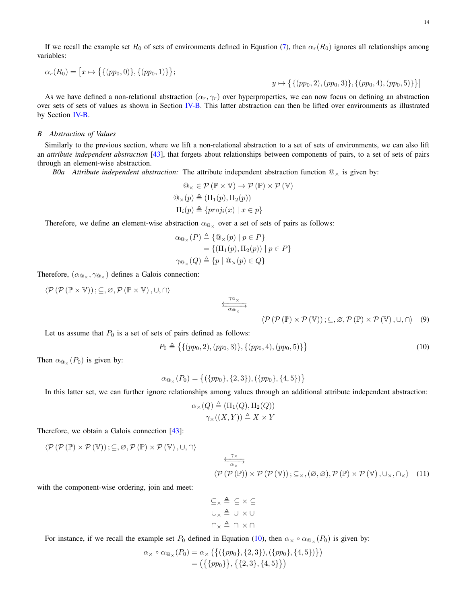14

If we recall the example set  $R_0$  of sets of environments defined in Equation [\(7\)](#page-12-0), then  $\alpha_r(R_0)$  ignores all relationships among variables:

$$
\alpha_r(R_0) = [x \mapsto \{\{(pp_0, 0)\}, \{(pp_0, 1)\}\};
$$

 $y \mapsto \{ \{ (pp_0, 2), (pp_0, 3) \}, \{ (pp_0, 4), (pp_0, 5) \} \}$ 

As we have defined a non-relational abstraction  $(\alpha_r, \gamma_r)$  over hyperproperties, we can now focus on defining an abstraction over sets of sets of values as shown in Section [IV-B.](#page-6-2) This latter abstraction can then be lifted over environments as illustrated by Section [IV-B.](#page-6-2)

# *B Abstraction of Values*

Similarly to the previous section, where we lift a non-relational abstraction to a set of sets of environments, we can also lift an *attribute independent abstraction* [\[43\]](#page-10-27), that forgets about relationships between components of pairs, to a set of sets of pairs through an element-wise abstraction.

*B0a Attribute independent abstraction:* The attribute independent abstraction function  $@_x$  is given by:

$$
\begin{aligned}\n&\mathbb{Q}_{\times} \in \mathcal{P}(\mathbb{P} \times \mathbb{V}) \to \mathcal{P}(\mathbb{P}) \times \mathcal{P}(\mathbb{V}) \\
&\mathbb{Q}_{\times}(p) \triangleq (\Pi_1(p), \Pi_2(p)) \\
&\Pi_i(p) \triangleq \{proj_i(x) \mid x \in p\}\n\end{aligned}
$$

Therefore, we define an element-wise abstraction  $\alpha_{\mathbb{Q}_\times}$  over a set of sets of pairs as follows:

$$
\alpha_{\mathbb{Q}_{\times}}(P) \triangleq \{ \mathbb{Q}_{\times}(p) \mid p \in P \}
$$
  
= \{ (\Pi\_1(p), \Pi\_2(p)) \mid p \in P \}  

$$
\gamma_{\mathbb{Q}_{\times}}(Q) \triangleq \{ p \mid \mathbb{Q}_{\times}(p) \in Q \}
$$

Therefore,  $(\alpha_{\text{Q}_\times}, \gamma_{\text{Q}_\times})$  defines a Galois connection:

$$
\langle \mathcal{P}(\mathcal{P}(\mathbb{P}\times\mathbb{V})); \subseteq, \varnothing, \mathcal{P}(\mathbb{P}\times\mathbb{V}), \cup, \cap \rangle
$$

<span id="page-13-1"></span><span id="page-13-0"></span>
$$
\langle \mathcal{P}(\mathcal{P}(\mathbb{P}) \times \mathcal{P}(\mathbb{V})); \subseteq, \varnothing, \mathcal{P}(\mathbb{P}) \times \mathcal{P}(\mathbb{V}), \cup, \cap \rangle \quad (9)
$$

Let us assume that  $P_0$  is a set of sets of pairs defined as follows:

$$
P_0 \triangleq \{ \{ (pp_0, 2), (pp_0, 3) \}, \{ (pp_0, 4), (pp_0, 5) \} \}
$$
\n
$$
(10)
$$

Then  $\alpha_{\mathbb{Q}_{\times}}(P_0)$  is given by:

$$
\alpha_{\mathbb{Q}_{\times}}(P_0) = \{ (\{pp_0\}, \{2, 3\}), (\{pp_0\}, \{4, 5\}) \}
$$

In this latter set, we can further ignore relationships among values through an additional attribute independent abstraction:

$$
\alpha_{\times}(Q) \triangleq (\Pi_1(Q), \Pi_2(Q))
$$
  

$$
\gamma_{\times}((X, Y)) \triangleq X \times Y
$$

Therefore, we obtain a Galois connection [\[43\]](#page-10-27):

$$
\left\langle \mathcal{P}\left(\mathcal{P}\left(\mathbb{P}\right)\times\mathcal{P}\left(\mathbb{V}\right)\right);\subseteq,\varnothing,\mathcal{P}\left(\mathbb{P}\right)\times\mathcal{P}\left(\mathbb{V}\right),\cup,\cap\right\rangle
$$

<span id="page-13-2"></span>
$$
\frac{\overbrace{\cdots}{\alpha_{x}}^{\gamma_{x}}}{\langle \mathcal{P}(\mathcal{P}(\mathbb{P})) \times \mathcal{P}(\mathcal{P}(\mathbb{V})): \subseteq_{x}, (\varnothing, \varnothing), \mathcal{P}(\mathbb{P}) \times \mathcal{P}(\mathbb{V}), \cup_{x}, \cap_{x} \rangle \quad (11)}
$$

with the component-wise ordering, join and meet:

$$
\subseteq x \triangleq \subseteq x \subseteq
$$
  

$$
\cup_x \triangleq \cup x \cup
$$
  

$$
\cap_x \triangleq \cap x \cap
$$

For instance, if we recall the example set  $P_0$  defined in Equation [\(10\)](#page-13-0), then  $\alpha_{\times} \circ \alpha_{\text{Q}_{\times}}(P_0)$  is given by:

$$
\alpha_{\times} \circ \alpha_{\mathfrak{A}_{\times}}(P_0) = \alpha_{\times} (\{ (\{pp_0\}, \{2,3\}), (\{pp_0\}, \{4,5\}) \})
$$
  
= (\{\{pp\_0\}, \{\{2,3\}, \{4,5\}\})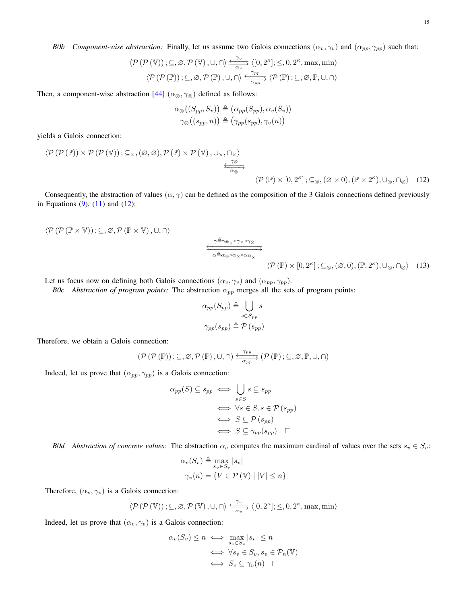*B0b Component-wise abstraction:* Finally, let us assume two Galois connections  $(\alpha_v, \gamma_v)$  and  $(\alpha_{pp}, \gamma_{pp})$  such that:

$$
\langle \mathcal{P}(\mathcal{P}(\mathbb{V})); \subseteq, \varnothing, \mathcal{P}(\mathbb{V}), \cup, \cap \rangle \xrightarrow{\sim} \langle [0, 2^{\kappa}]; \leq, 0, 2^{\kappa}, \max, \min \rangle
$$

$$
\langle \mathcal{P}(\mathcal{P}(\mathbb{P})); \subseteq, \varnothing, \mathcal{P}(\mathbb{P}), \cup, \cap \rangle \xrightarrow{\sim} \frac{\gamma_{\text{pp}}}{\alpha_{\text{pp}}} \langle \mathcal{P}(\mathbb{P}); \subseteq, \varnothing, \mathbb{P}, \cup, \cap \rangle
$$

Then, a component-wise abstraction [\[44\]](#page-10-28)  $(\alpha_{\otimes}, \gamma_{\otimes})$  defined as follows:

<span id="page-14-0"></span>
$$
\alpha_{\otimes}((S_{pp}, S_v)) \triangleq (\alpha_{pp}(S_{pp}), \alpha_v(S_v))
$$
  

$$
\gamma_{\otimes}((s_{pp}, n)) \triangleq (\gamma_{pp}(s_{pp}), \gamma_v(n))
$$

yields a Galois connection:

$$
\langle \mathcal{P}(\mathcal{P}(\mathbb{P})) \times \mathcal{P}(\mathcal{P}(\mathbb{V})); \subseteq_{\times}, (\varnothing, \varnothing), \mathcal{P}(\mathbb{P}) \times \mathcal{P}(\mathbb{V}), \cup_{\times}, \cap_{\times} \rangle
$$
  

$$
\xrightarrow{\gamma \otimes}
$$
  

$$
\langle \mathcal{P}(\mathbb{P}) \times [0, 2^{\kappa}]; \subseteq_{\otimes}, (\varnothing \times 0), (\mathbb{P} \times 2^{\kappa}), \cup_{\otimes}, \cap_{\otimes} \rangle \quad (12)
$$

Consequently, the abstraction of values  $(\alpha, \gamma)$  can be defined as the composition of the 3 Galois connections defined previously in Equations  $(9)$ ,  $(11)$  and  $(12)$ :

$$
\langle \mathcal{P}(\mathcal{P}(\mathbb{P}\times\mathbb{V}));\subseteq,\varnothing,\mathcal{P}(\mathbb{P}\times\mathbb{V}),\cup,\cap\rangle
$$
\n
$$
\xrightarrow[\alpha\triangleq\alpha_{\otimes}\circ\alpha_{\times}\circ\alpha_{\otimes_{\times}}]{\gamma\triangleq\gamma_{\otimes}\circ\gamma_{\times}\circ\gamma_{\otimes}}}
$$
\n
$$
\langle \mathcal{P}(\mathbb{P})\times[0,2^{\kappa}];\subseteq_{\otimes},(\varnothing,0),(\mathbb{P},2^{\kappa}),\cup_{\otimes},\cap_{\otimes}\rangle \quad (13)
$$

Let us focus now on defining both Galois connections  $(\alpha_v, \gamma_v)$  and  $(\alpha_{pp}, \gamma_{pp})$ .

*B0c Abstraction of program points:* The abstraction  $\alpha_{pp}$  merges all the sets of program points:

<span id="page-14-1"></span>
$$
\alpha_{pp}(S_{pp}) \triangleq \bigcup_{s \in S_{pp}} s
$$

$$
\gamma_{pp}(s_{pp}) \triangleq \mathcal{P}(s_{pp})
$$

Therefore, we obtain a Galois connection:

$$
\left(\mathcal{P}\left(\mathcal{P}\left(\mathbb{P}\right)\right);\subseteq,\varnothing,\mathcal{P}\left(\mathbb{P}\right),\cup,\cap\right)\xrightarrow[\alpha_{pp}]{\gamma_{pp}}\left(\mathcal{P}\left(\mathbb{P}\right);\subseteq,\varnothing,\mathbb{P},\cup,\cap\right)
$$

Indeed, let us prove that  $(\alpha_{pp}, \gamma_{pp})$  is a Galois connection:

$$
\alpha_{pp}(S) \subseteq s_{pp} \iff \bigcup_{s \in S} s \subseteq s_{pp}
$$

$$
\iff \forall s \in S, s \in \mathcal{P}(s_{pp})
$$

$$
\iff S \subseteq \mathcal{P}(s_{pp})
$$

$$
\iff S \subseteq \gamma_{pp}(s_{pp}) \quad \Box
$$

*B0d Abstraction of concrete values:* The abstraction  $\alpha_v$  computes the maximum cardinal of values over the sets  $s_v \in S_v$ :

$$
\alpha_v(S_v) \triangleq \max_{s_v \in S_v} |s_v|
$$
  

$$
\gamma_v(n) = \{ V \in \mathcal{P}(\mathbb{V}) \mid |V| \le n \}
$$

Therefore,  $(\alpha_v, \gamma_v)$  is a Galois connection:

$$
\left\langle \mathcal{P}\left(\mathcal{P}\left(\mathbb{V}\right)\right);\subseteq,\varnothing,\mathcal{P}\left(\mathbb{V}\right),\cup,\cap\right\rangle \xrightarrow[\alpha_{v}]{\gamma_{v}}\left\langle \left[0,2^{\kappa}\right];\le,0,2^{\kappa},\max,\min\right\rangle
$$

Indeed, let us prove that  $(\alpha_v, \gamma_v)$  is a Galois connection:

$$
\alpha_v(S_v) \le n \iff \max_{s_v \in S_v} |s_v| \le n
$$
  

$$
\iff \forall s_v \in S_v, s_v \in \mathcal{P}_n(\mathbb{V})
$$
  

$$
\iff S_v \subseteq \gamma_v(n) \quad \Box
$$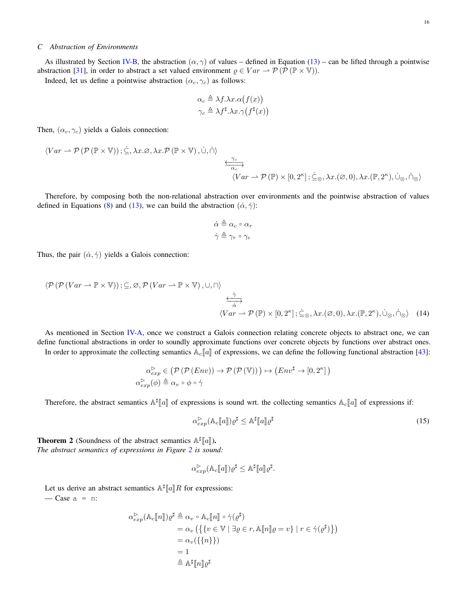# *C Abstraction of Environments*

As illustrated by Section [IV-B,](#page-6-2) the abstraction  $(\alpha, \gamma)$  of values – defined in Equation [\(13\)](#page-14-1) – can be lifted through a pointwise abstraction [\[31\]](#page-10-15), in order to abstract a set valued environment  $\varrho \in Var \to \mathcal{P}(\mathcal{P}(\mathbb{P} \times \mathbb{V}))$ .

Indeed, let us define a pointwise abstraction  $(\alpha_c, \gamma_c)$  as follows:

$$
\alpha_c \triangleq \lambda f.\lambda x.\alpha(f(x))
$$
  

$$
\gamma_c \triangleq \lambda f^{\sharp}.\lambda x.\gamma(f^{\sharp}(x))
$$

Then,  $(\alpha_c, \gamma_c)$  yields a Galois connection:

$$
\langle Var \rightarrow \mathcal{P}(\mathcal{P}(\mathbb{P} \times \mathbb{V})); \subseteq, \lambda x. \varnothing, \lambda x. \mathcal{P}(\mathbb{P} \times \mathbb{V}), \dot\cup, \dot\cap \rangle
$$
  

$$
\xrightarrow[\alpha_c]{\gamma_c}
$$
  

$$
\langle Var \rightarrow \mathcal{P}(\mathbb{P}) \times [0, 2^{\kappa}]; \dot\subseteq_{\otimes}, \lambda x.(\varnothing, 0), \lambda x.(\mathbb{P}, 2^{\kappa}), \dot\cup_{\otimes}, \dot\cap_{\otimes} \rangle
$$

Therefore, by composing both the non-relational abstraction over environments and the pointwise abstraction of values defined in Equations [\(8\)](#page-12-1) and [\(13\)](#page-14-1), we can build the abstraction  $(\dot{\alpha}, \dot{\gamma})$ :

$$
\dot{\alpha} \triangleq \alpha_c \circ \alpha_r
$$

$$
\dot{\gamma} \triangleq \gamma_r \circ \gamma_c
$$

Thus, the pair  $(\dot{\alpha}, \dot{\gamma})$  yields a Galois connection:

$$
\langle \mathcal{P}(\mathcal{P}(Var \to \mathbb{P} \times \mathbb{V})); \subseteq, \varnothing, \mathcal{P}(Var \to \mathbb{P} \times \mathbb{V}), \cup, \cap \rangle
$$
  

$$
\xrightarrow{\hat{\alpha}} \langle Var \to \mathcal{P}(\mathbb{P}) \times [0, 2^{\kappa}]; \underline{\zeta}_{\otimes}, \lambda x.(\varnothing, 0), \lambda x.(\mathbb{P}, 2^{\kappa}), \cup_{\otimes}, \cap_{\otimes} \rangle \quad (14)
$$

As mentioned in Section [IV-A,](#page-5-2) once we construct a Galois connection relating concrete objects to abstract one, we can define functional abstractions in order to soundly approximate functions over concrete objects by functions over abstract ones.

In order to approximate the collecting semantics  $A_c[\![a]\!]$  of expressions, we can define the following functional abstraction [\[43\]](#page-10-27):

$$
\alpha_{exp}^{\triangleright} \in (\mathcal{P}(\mathcal{P}(Env)) \to \mathcal{P}(\mathcal{P}(\mathbb{V}))) \mapsto (Env^{\sharp} \to [0, 2^{\kappa}])
$$

$$
\alpha_{exp}^{\triangleright}(\phi) \triangleq \alpha_v \circ \phi \circ \gamma
$$

Therefore, the abstract semantics  $\mathbb{A}^{\sharp}[a]$  of expressions is sound wrt. the collecting semantics  $\mathbb{A}_c[i]$  of expressions if:

<span id="page-15-0"></span>
$$
\alpha_{exp}^{\triangleright}(\mathbb{A}_c[\![a]\!])\varrho^{\sharp} \leq \mathbb{A}^{\sharp}[\![a]\!]\varrho^{\sharp} \tag{15}
$$

**Theorem 2** (Soundness of the abstract semantics  $\mathbb{A}^{\sharp}[\![a]\!]$ ).<br>The abstract semantics of expressions in Figure 2 is sound *The abstract semantics of expressions in Figure [2](#page-3-0) is sound:*

$$
\alpha_{exp}^{\triangleright}(\mathbb{A}_c[\![a]\!])\varrho^{\sharp} \leq \mathbb{A}^{\sharp}[\![a]\!]\varrho^{\sharp}.
$$

Let us derive an abstract semantics  $\mathbb{A}^{\sharp}[a]R$  for expressions:  $\sim$  Case a = n:

$$
\alpha_{exp}^{\triangleright}(\mathbb{A}_c[\![n]\!])\varrho^{\sharp} \triangleq \alpha_v \circ \mathbb{A}_c[\![n]\!]) \circ \dot{\gamma}(\varrho^{\sharp})
$$
  
\n
$$
= \alpha_v \left( \{ \{ v \in \mathbb{V} \mid \exists \varrho \in r, \mathbb{A}[\![n]\!]\varrho = v \} \mid r \in \dot{\gamma}(\varrho^{\sharp}) \} \right)
$$
  
\n
$$
= \alpha_v (\{ \{ n \} \})
$$
  
\n
$$
= 1
$$
  
\n
$$
\triangleq \mathbb{A}^{\sharp}[\![n]\!]\varrho^{\sharp}
$$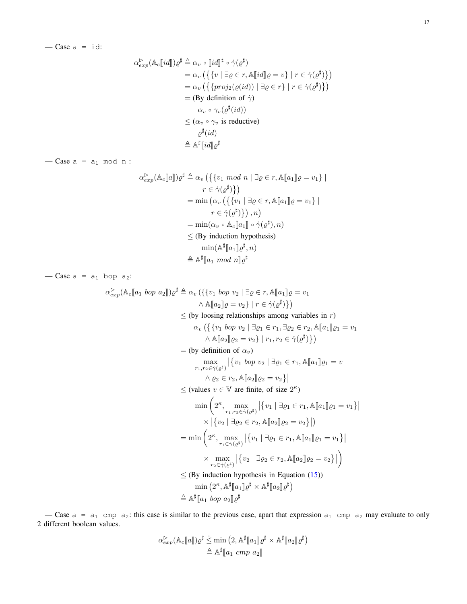$$
\alpha_{exp}^{\triangleright}(\mathbb{A}_{c}[[id]])\varrho^{\sharp} \triangleq \alpha_{v} \circ [[id]]^{\sharp} \circ \dot{\gamma}(\varrho^{\sharp})
$$
\n
$$
= \alpha_{v} \left( \{ \{v \mid \exists \varrho \in r, \mathbb{A}[[id]]\varrho = v \} \mid r \in \dot{\gamma}(\varrho^{\sharp}) \} \right)
$$
\n
$$
= \alpha_{v} \left( \{ \{proj_{2}(\varrho(id)) \mid \exists \varrho \in r \} \mid r \in \dot{\gamma}(\varrho^{\sharp}) \} \right)
$$
\n
$$
= (\text{By definition of } \dot{\gamma})
$$
\n
$$
\alpha_{v} \circ \gamma_{v}(\varrho^{\sharp}(id))
$$
\n
$$
\leq (\alpha_{v} \circ \gamma_{v} \text{ is reductive})
$$
\n
$$
\varrho^{\sharp}(id)
$$
\n
$$
\triangleq \mathbb{A}^{\sharp}[[id]]\varrho^{\sharp}
$$

 $-\text{Case} \ a = a_1 \ \text{mod} \ n$ :

$$
\alpha_{exp}^{\triangleright}(\mathbb{A}_{c}[[a]])\varrho^{\sharp} \triangleq \alpha_{v} \left( \left\{ \{v_{1} \mod n \mid \exists \varrho \in r, \mathbb{A}[[a_{1}]]\varrho = v_{1} \right\} \mid \right. \\
 \left. r \in \dot{\gamma}(\varrho^{\sharp}) \right\} \right) \\
= \min \left( \alpha_{v} \left( \left\{ \{v_{1} \mid \exists \varrho \in r, \mathbb{A}[[a_{1}]]\varrho = v_{1} \right\} \mid \right. \\
 \left. r \in \dot{\gamma}(\varrho^{\sharp}) \right\} \right), n \right) \\
= \min (\alpha_{v} \circ \mathbb{A}_{c}[[a_{1}]] \circ \dot{\gamma}(\varrho^{\sharp}), n) \\
\leq (\text{By induction hypothesis}) \\
\min(\mathbb{A}^{\sharp}[[a_{1}]]\varrho^{\sharp}, n) \\
\triangleq \mathbb{A}^{\sharp}[[a_{1} \mod n]]\varrho^{\sharp}
$$

— Case  $a = a_1$  bop  $a_2$ :

$$
\alpha_{exp}^{\triangleright}(\mathbb{A}_{c}[[a_{1} \text{ bop } a_{2}]])e^{\sharp} \triangleq \alpha_{v}(\{\{v_{1} \text{ bop } v_{2} \mid \exists \varrho \in r, \mathbb{A}[[a_{1}]]\varrho = v_{1} \land \mathbb{A}[[a_{2}]]\varrho = v_{2}\} \mid r \in \dot{\gamma}(\varrho^{\sharp})\})
$$
\n
$$
\leq (\text{by looking relationships among variables in } r)
$$
\n
$$
\alpha_{v}(\{\{v_{1} \text{ bop } v_{2} \mid \exists \varrho_{1} \in r_{1}, \exists \varrho_{2} \in r_{2}, \mathbb{A}[[a_{1}]]\varrho_{1} = v_{1} \land \mathbb{A}[[a_{2}]]\varrho_{2} = v_{2}\} \mid r_{1}, r_{2} \in \dot{\gamma}(\varrho^{\sharp})\})
$$
\n
$$
= (\text{by definition of } \alpha_{v})
$$
\n
$$
\max_{r_{1}, r_{2} \in \dot{\gamma}(\varrho^{\sharp})}\{\{v_{1} \text{ bop } v_{2} \mid \exists \varrho_{1} \in r_{1}, \mathbb{A}[[a_{1}]]\varrho_{1} = v \land \varrho_{2} \in r_{2}, \mathbb{A}[[a_{2}]]\varrho_{2} = v_{2}\}\}
$$
\n
$$
\leq (\text{values } v \in \mathbb{V} \text{ are finite, of size } 2^{\kappa})
$$
\n
$$
\min\left(2^{\kappa}, \max_{r_{1}, r_{2} \in \dot{\gamma}(\varrho^{\sharp})}\left|\{v_{1} \mid \exists \varrho_{1} \in r_{1}, \mathbb{A}[[a_{1}]]\varrho_{1} = v_{1}\}\right|\right)
$$
\n
$$
\times |\{v_{2} \mid \exists \varrho_{2} \in r_{2}, \mathbb{A}[[a_{2}]]\varrho_{2} = v_{2}\}|)
$$
\n
$$
= \min\left(2^{\kappa}, \max_{r_{1} \in \dot{\gamma}(\varrho^{\sharp})}\left|\{v_{1} \mid \exists \varrho_{1} \in r_{1}, \mathbb{A}[[a_{1}]]\varrho_{1} = v_{1}\right\}| \times \max_{r_{2} \in \dot{\gamma}(\varrho^{\sharp})}\left|\{
$$

— Case  $a = a_1$  cmp  $a_2$ : this case is similar to the previous case, apart that expression  $a_1$  cmp  $a_2$  may evaluate to only 2 different boolean values.

$$
\alpha_{exp}^{\triangleright}(\mathbb{A}_c[\![a]\!])\varrho^{\sharp} \leq \min\left(2, \mathbb{A}^{\sharp}[\![a_1]\!] \varrho^{\sharp} \times \mathbb{A}^{\sharp}[\![a_2]\!] \varrho^{\sharp}\right)
$$

$$
\triangleq \mathbb{A}^{\sharp}[\![a_1 \; comp \; a_2]\!]
$$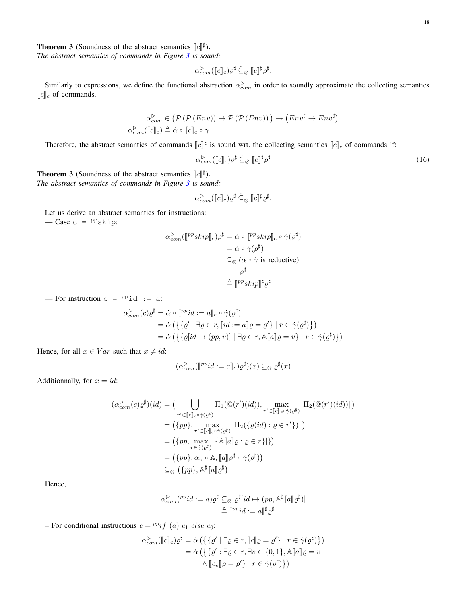**The abstract semantics of commands in Figure 3** is sourced.<br>The abstract semantics of commands in Figure 3 is sourced.

*The abstract semantics of commands in Figure [3](#page-4-0) is sound:*

$$
\alpha_{com}^{\triangleright}([\![c]\!]_c)\varrho^{\sharp} \subseteq_{\otimes} [\![c]\!]^{\sharp}\varrho^{\sharp}.
$$

Similarly to expressions, we define the functional abstraction  $\alpha_{com}^{\triangleright}$  in order to soundly approximate the collecting semantics  $[\![c]\!]_c$  of commands.

$$
\alpha_{com}^{\triangleright} \in (\mathcal{P}(\mathcal{P}(Env)) \to \mathcal{P}(\mathcal{P}(Env))) \to (Env^{\sharp} \to Env^{\sharp})
$$
  

$$
\alpha_{com}^{\triangleright}([c]_c) \triangleq \dot{\alpha} \circ [c]_c \circ \dot{\gamma}
$$

Therefore, the abstract semantics of commands  $[[c]]^{\sharp}$  is sound wrt. the collecting semantics  $[[c]]_c$  of commands if:

<span id="page-17-0"></span>
$$
\alpha_{com}^{\triangleright}([\![c]\!]_c)\varrho^{\sharp} \subseteq_{\otimes} [\![c]\!]^{\sharp}\varrho^{\sharp} \tag{16}
$$

**The abstract semantics** of commands in Figure 3 is sourced as  $\lceil c \rceil^{\sharp}$ . *The abstract semantics of commands in Figure [3](#page-4-0) is sound:*

$$
\alpha_{com}^{\triangleright}([\![c]\!]_c)\varrho^{\sharp} \subseteq_{\otimes} [\![c]\!]^{\sharp}\varrho^{\sharp}.
$$

Let us derive an abstract semantics for instructions:

 $-\text{Case } c = \text{PP}_\text{skip}:$ 

$$
\alpha_{com}^{\triangleright}([\mathbb{P}^pskip]_c) \varrho^{\sharp} = \dot{\alpha} \circ [\mathbb{P}^pskip]_c \circ \dot{\gamma}(\varrho^{\sharp})
$$
  
\n
$$
= \dot{\alpha} \circ \dot{\gamma}(\varrho^{\sharp})
$$
  
\n
$$
\subseteq_{\otimes} (\dot{\alpha} \circ \dot{\gamma} \text{ is reductive})
$$
  
\n
$$
\varrho^{\sharp}
$$
  
\n
$$
\triangleq [\mathbb{P}^pskip] \sharp \varrho^{\sharp}
$$

— For instruction  $c = P^p$ id := a:

$$
\alpha_{com}^{\triangleright}(c)\varrho^{\sharp} = \dot{\alpha} \circ [\ulcorner^{pp}id := a \urcorner_{c} \circ \dot{\gamma}(\varrho^{\sharp})
$$
\n
$$
= \dot{\alpha} \left( \{ \{ \varrho' \mid \exists \varrho \in r, [\ulcorner id := a \urcorner_{c} \varrho = \varrho' \} \mid r \in \dot{\gamma}(\varrho^{\sharp}) \} \right)
$$
\n
$$
= \dot{\alpha} \left( \{ \{ \varrho[i d \mapsto (pp, v)] \mid \exists \varrho \in r, \mathbb{A} \urcorner_{c} \varrho = v \} \mid r \in \dot{\gamma}(\varrho^{\sharp}) \} \right)
$$

Hence, for all  $x \in Var$  such that  $x \neq id$ :

$$
(\alpha_{com}^{\triangleright}([\mathbb{P}^p id := a]_c)\varrho^{\sharp})(x) \subseteq_{\otimes} \varrho^{\sharp}(x)
$$

Additionnally, for  $x = id$ :

$$
(\alpha_{com}^{\triangleright}(c)\varrho^{\sharp})(id) = \left(\bigcup_{r' \in [\![c]\!]_c \circ \dot{\gamma}(e^{\sharp})} \Pi_1(\mathbb{Q}(r')(id)), \max_{r' \in [\![c]\!]_c \circ \dot{\gamma}(e^{\sharp})} |\Pi_2(\mathbb{Q}(r')(id))|\right)
$$

$$
= (\{pp\}, \max_{r' \in [\![c]\!]_c \circ \dot{\gamma}(e^{\sharp})} |\Pi_2(\{\varrho(id) : \varrho \in r'\})|)
$$

$$
= (\{pp, \max_{r \in \dot{\gamma}(e^{\sharp})} |\{\mathbb{A}[\![a]\!] \varrho : \varrho \in r\}| \})
$$

$$
= (\{pp\}, \alpha_v \circ \mathbb{A}_c[\![a]\!] \varrho^{\sharp} \circ \dot{\gamma}(\varrho^{\sharp}))
$$

$$
\subseteq_{\otimes} (\{pp\}, \mathbb{A}^{\sharp}[\![a]\!] \varrho^{\sharp})
$$

Hence,

$$
\alpha_{com}^{\triangleright}(^{pp}id := a) \varrho^{\sharp} \subseteq_{\otimes} \varrho^{\sharp}[id \mapsto (pp, \mathbb{A}^{\sharp}[a] \varrho^{\sharp})]
$$

$$
\triangleq [^{pp}id := a]^{\sharp} \varrho^{\sharp}
$$

– For conditional instructions  $c = {^{pp}}if$  (a)  $c_1$  else  $c_0$ :

$$
\alpha_{com}^{\triangleright}([\![c]\!]_c)\varrho^{\sharp} = \dot{\alpha} \left( \{ \{ \varrho' \mid \exists \varrho \in r, [\![c]\!] \varrho = \varrho' \} \mid r \in \dot{\gamma}(\varrho^{\sharp}) \} \right)
$$

$$
= \dot{\alpha} \left( \{ \{ \varrho' : \exists \varrho \in r, \exists v \in \{0, 1\}, \mathbb{A}[\![a]\!] \varrho = v \right)
$$

$$
\wedge [\![c_v]\!] \varrho = \varrho' \} \mid r \in \dot{\gamma}(\varrho^{\sharp}) \} \right)
$$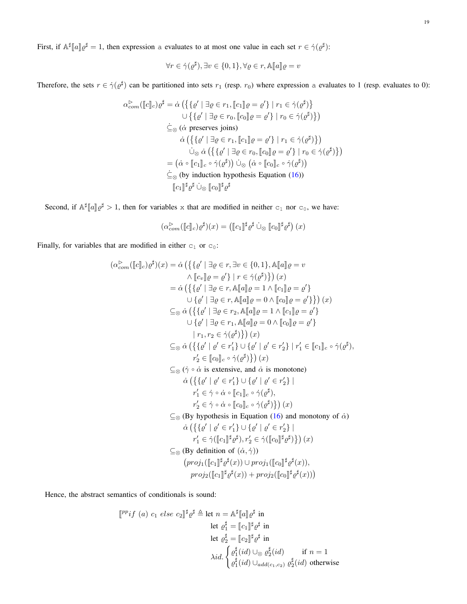First, if  $\mathbb{A}^{\sharp}[a] \rho^{\sharp} = 1$ , then expression a evaluates to at most one value in each set  $r \in \dot{\gamma}(\rho^{\sharp})$ :

$$
\forall r \in \dot{\gamma}(\varrho^{\sharp}), \exists v \in \{0, 1\}, \forall \varrho \in r, \mathbb{A}[\![a]\!] \varrho = v
$$

Therefore, the sets  $r \in \dot{\gamma}(\varrho^{\sharp})$  can be partitioned into sets  $r_1$  (resp.  $r_0$ ) where expression a evaluates to 1 (resp. evaluates to 0):

$$
\alpha_{com}^{\triangleright}([\![c]\!]_c)\varrho^{\sharp} = \dot{\alpha} \left( \left\{ \{ \varrho' \mid \exists \varrho \in r_1, [\![c_1]\!] \varrho = \varrho' \} \mid r_1 \in \dot{\gamma}(\varrho^{\sharp}) \right\} \right)
$$
  
\n
$$
\cup \left\{ \{ \varrho' \mid \exists \varrho \in r_0, [\![c_0]\!] \varrho = \varrho' \} \mid r_0 \in \dot{\gamma}(\varrho^{\sharp}) \right\} \right)
$$
  
\n
$$
\dot{\subseteq}_{\otimes} (\dot{\alpha} \text{ preserves joins})
$$
  
\n
$$
\dot{\alpha} \left( \left\{ \{ \varrho' \mid \exists \varrho \in r_1, [\![c_1]\!] \varrho = \varrho' \} \mid r_1 \in \dot{\gamma}(\varrho^{\sharp}) \right\} \right)
$$
  
\n
$$
\dot{\cup}_{\otimes} \dot{\alpha} \left( \left\{ \{ \varrho' \mid \exists \varrho \in r_0, [\![c_0]\!] \varrho = \varrho' \} \mid r_0 \in \dot{\gamma}(\varrho^{\sharp}) \right\} \right)
$$
  
\n
$$
= (\dot{\alpha} \circ [\![c_1]\!]_c \circ \dot{\gamma}(\varrho^{\sharp}) ) \dot{\cup}_{\otimes} (\dot{\alpha} \circ [\![c_0]\!]_c \circ \dot{\gamma}(\varrho^{\sharp}) )
$$
  
\n
$$
\dot{\subseteq}_{\otimes} (\text{by induction hypothesis Equation (16))}
$$
  
\n
$$
[\![c_1]\!]^{\sharp} \varrho^{\sharp} \dot{\cup}_{\otimes} [\![c_0]\!]^{\sharp} \varrho^{\sharp}
$$

Second, if  $\mathbb{A}^{\sharp}[a] \rho^{\sharp} > 1$ , then for variables x that are modified in neither  $c_1$  nor  $c_0$ , we have:

$$
(\alpha_{com}^{\triangleright}([\![c]\!]_c)\varrho^{\sharp})(x) = ([\![c_1]\!]^{\sharp}\varrho^{\sharp} \dot{\cup}_{\otimes} [\![c_0]\!]^{\sharp}\varrho^{\sharp})(x)
$$

Finally, for variables that are modified in either  $c_1$  or  $c_0$ :

$$
(\alpha_{com}^{\triangleright}([[c]]_{c})\varrho^{\sharp})(x) = \dot{\alpha} \left( \{ \{ \varrho' \mid \exists \varrho \in r, \exists v \in \{0, 1\}, \mathbb{A}[[a]] \varrho = v \right) \right)
$$
  
\n
$$
= \dot{\alpha} \left( \{ \{ \varrho' \mid \exists \varrho \in r, \mathbb{A}[[a]] \varrho = 1 \land [[c]] \varrho = \varrho' \} \right)
$$
  
\n
$$
= \dot{\alpha} \left( \{ \{ \varrho' \mid \exists \varrho \in r, \mathbb{A}[[a]] \varrho = 1 \land [[c]] \varrho = \varrho' \} \right)
$$
  
\n
$$
\subseteq_{\otimes} \dot{\alpha} \left( \{ \{ \varrho' \mid \exists \varrho \in r, \mathbb{A}[[a]] \varrho = 1 \land [[c]] \varrho = \varrho' \} \right)
$$
  
\n
$$
\cup \{ \varrho' \mid \exists \varrho \in r_1, \mathbb{A}[[a]] \varrho = 0 \land [[c]] \varrho = \varrho' \} \right)
$$
  
\n
$$
= \dot{\alpha} \left( \{ \{ \varrho' \mid \exists \varrho \in r_1, \mathbb{A}[[a]] \varrho = 0 \land [[c]] \varrho = \varrho' \} \right)
$$
  
\n
$$
= \dot{\alpha} \left( \{ \{ \varrho' \mid \varrho' \in r_1' \} \cup \{ \varrho' \mid \varrho' \in r_2' \} \mid r_1' \in [[c]]]_{c} \circ \dot{\gamma}(\varrho^{\sharp}),
$$
  
\n
$$
r_2' \in [[c]_{c} \circ \dot{\gamma}(\varrho^{\sharp}) \} \right)(x)
$$
  
\n
$$
\subseteq_{\otimes} (\dot{\gamma} \circ \dot{\alpha} \text{ is extensive, and } \dot{\alpha} \text{ is monotone})
$$
  
\n
$$
\dot{\alpha} \left( \{ \{ \varrho' \mid \varrho' \in r_1' \} \cup \{ \varrho' \mid \varrho' \in r_2' \} \} \right)
$$
  
\n
$$
r_1' \in \dot{\gamma} \circ \dot{\alpha} \circ [[c]_{c} \circ \dot{\gamma}(\varrho^{\sharp}) \} \right)(x)
$$

Hence, the abstract semantics of conditionals is sound:

$$
\begin{aligned}\n\llbracket^{pp}if (a) c_1 \text{ } else \text{ } c_2 \rrbracket^{\sharp} \varrho^{\sharp} \triangleq \text{let } n = \mathbb{A}^{\sharp} \llbracket a \rrbracket \varrho^{\sharp} \text{ in} \\
 & \text{let } \varrho_1^{\sharp} = \llbracket c_1 \rrbracket^{\sharp} \varrho^{\sharp} \text{ in} \\
 & \text{let } \varrho_2^{\sharp} = \llbracket c_2 \rrbracket^{\sharp} \varrho^{\sharp} \text{ in} \\
 & \lambda id. \begin{cases}\n\varrho_1^{\sharp}(id) \cup_{\otimes} \varrho_2^{\sharp}(id) & \text{if } n = 1 \\
\varrho_1^{\sharp}(id) \cup_{add(c_1, c_2)} \varrho_2^{\sharp}(id) & \text{otherwise}\n\end{cases}\n\end{aligned}
$$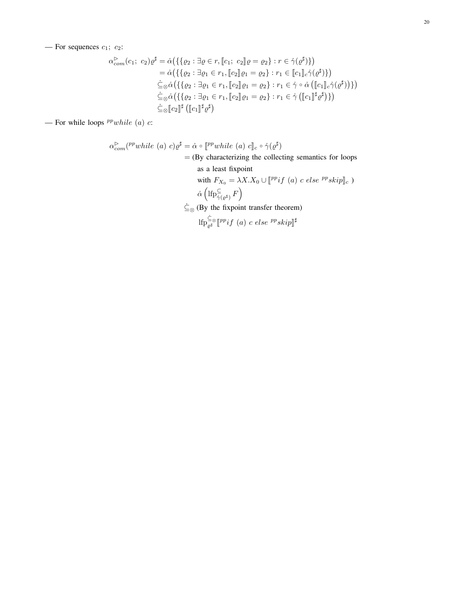— For sequences  $c_1$ ;  $c_2$ :

$$
\alpha_{com}^{\triangleright}(c_1; c_2)\varrho^{\sharp} = \dot{\alpha}(\{\{\varrho_2 : \exists \varrho \in r, [c_1; c_2] \varrho = \varrho_2\} : r \in \dot{\gamma}(\varrho^{\sharp})\})
$$
  
\n
$$
= \dot{\alpha}(\{\{\varrho_2 : \exists \varrho_1 \in r_1, [c_2] \varrho_1 = \varrho_2\} : r_1 \in [c_1] \cdot \dot{\gamma}(\varrho^{\sharp})\})
$$
  
\n
$$
\dot{\subseteq}_{\otimes} \dot{\alpha}(\{\{\varrho_2 : \exists \varrho_1 \in r_1, [c_2] \varrho_1 = \varrho_2\} : r_1 \in \dot{\gamma} \circ \dot{\alpha}([c_1] \cdot \dot{\gamma}(\varrho^{\sharp}))\})
$$
  
\n
$$
\dot{\subseteq}_{\otimes} \dot{\alpha}(\{\{\varrho_2 : \exists \varrho_1 \in r_1, [c_2] \varrho_1 = \varrho_2\} : r_1 \in \dot{\gamma}([c_1] \cdot \dot{\varrho}^{\sharp})\})
$$
  
\n
$$
\dot{\subseteq}_{\otimes} [c_2] \cdot \dot{\equiv}([c_1] \cdot \dot{\varrho}^{\sharp})
$$

— For while loops  $^{pp}while (a)$  c:

$$
\alpha_{com}^{\triangleright}(^{pp}while (a) c)\varrho^{\sharp} = \dot{\alpha} \circ [^{pp}while (a) c]_{c} \circ \dot{\gamma}(\varrho^{\sharp})
$$
\n
$$
= (\text{By characterizing the collecting semantics for loops as a least fixpoint}
$$
\nwith  $F_{X_{0}} = \lambda X.X_{0} \cup [^{pp}if (a) c else ^{pp}skip]_{c}$ )\n
$$
\dot{\alpha} \left( \text{If}_{\gamma(\varrho^{\sharp})}^{\subseteq} F \right)
$$
\n
$$
\dot{\subseteq}_{\otimes} (\text{By the fixpoint transfer theorem})
$$
\n
$$
\text{If}_{\rho^{\sharp}_{\varrho^{\sharp}}^{\subseteq}^{\subseteq} [^{pp}if (a) c else ^{pp}skip]^{\sharp}
$$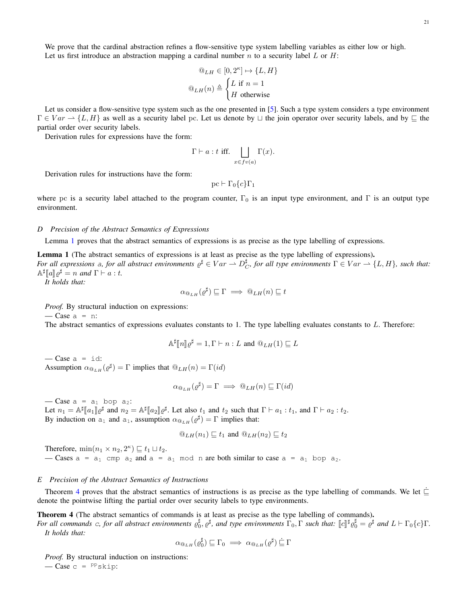We prove that the cardinal abstraction refines a flow-sensitive type system labelling variables as either low or high. Let us first introduce an abstraction mapping a cardinal number n to a security label L or H:

$$
\begin{aligned}\n\mathbb{Q}_{LH} \in [0, 2^{\kappa}] &\mapsto \{L, H\} \\
\mathbb{Q}_{LH}(n) &\triangleq \begin{cases}\nL \text{ if } n = 1 \\
H \text{ otherwise}\n\end{cases}\n\end{aligned}
$$

Let us consider a flow-sensitive type system such as the one presented in [\[5\]](#page-9-4). Such a type system considers a type environment  $\Gamma \in Var \to \{L, H\}$  as well as a security label pc. Let us denote by  $\Box$  the join operator over security labels, and by  $\Box$  the partial order over security labels.

Derivation rules for expressions have the form:

$$
\Gamma \vdash a : t \text{ iff.} \bigsqcup_{x \in fv(a)} \Gamma(x).
$$

Derivation rules for instructions have the form:

pc  $\vdash \Gamma_0 \{c\} \Gamma_1$ 

where pc is a security label attached to the program counter,  $\Gamma_0$  is an input type environment, and  $\Gamma$  is an output type environment.

### *D Precision of the Abstract Semantics of Expressions*

Lemma [1](#page-7-2) proves that the abstract semantics of expressions is as precise as the type labelling of expressions.

Lemma 1 (The abstract semantics of expressions is at least as precise as the type labelling of expressions). *For all expressions* a, for all abstract environments  $\varrho^{\sharp} \in Var \to D_C^{\sharp}$ , for all type environments  $\Gamma \in Var \to \{L, H\}$ , such that:  $\mathbb{A}^{\sharp}[[a]]\varrho^{\sharp} = n$  and  $\Gamma \vdash a : t$ .<br>*It holds that:* 

*It holds that:*

$$
\alpha_{\mathbb{Q}_{LH}}(\varrho^{\sharp}) \sqsubseteq \Gamma \implies \mathbb{Q}_{LH}(n) \sqsubseteq t
$$

*Proof.* By structural induction on expressions:

 $\sim$  Case a = n:

The abstract semantics of expressions evaluates constants to 1. The type labelling evaluates constants to L. Therefore:

$$
\mathbb{A}^{\sharp}[n]\mathbb{Q}^{\sharp}=1,\Gamma\vdash n:L\text{ and }\mathbb{Q}_{LH}(1)\sqsubseteq L
$$

 $\overline{\phantom{a}}$  Case a = id: Assumption  $\alpha_{\mathbb{Q}_{LH}}(\varrho^{\sharp}) = \Gamma$  implies that  $\mathbb{Q}_{LH}(n) = \Gamma(id)$ 

$$
\alpha_{\mathbb{Q}_{LH}}(\varrho^{\sharp}) = \Gamma \implies \mathbb{Q}_{LH}(n) \sqsubseteq \Gamma(id)
$$

 $-\text{Case} a = a_1 \text{ loop } a_2$ : Let  $n_1 = \mathbb{A}^{\sharp}[[a_1]] \varrho^{\sharp}$  and  $n_2 = \mathbb{A}^{\sharp}[[a_2]] \varrho^{\sharp}$ . Let also  $t_1$  and  $t_2$  such that  $\Gamma \vdash a_1 : t_1$ , and  $\Gamma \vdash a_2 : t_2$ .<br>By induction on a set also assumption  $\varrho_{\mathbb{A}}$ ,  $(\varphi^{\sharp}) = \Gamma$  implies that: By induction on  $a_1$  and  $a_1$ , assumption  $\alpha_{@_{LH}}(\varrho^{\sharp}) = \Gamma$  implies that:

$$
\mathbb{Q}_{LH}(n_1) \sqsubseteq t_1
$$
 and  $\mathbb{Q}_{LH}(n_2) \sqsubseteq t_2$ 

Therefore,  $\min(n_1 \times n_2, 2^{\kappa}) \sqsubseteq t_1 \sqcup t_2$ .

— Cases  $a = a_1$  cmp  $a_2$  and  $a = a_1$  mod n are both similar to case  $a = a_1$  bop  $a_2$ .

# *E Precision of the Abstract Semantics of Instructions*

Theorem [4](#page-7-3) proves that the abstract semantics of instructions is as precise as the type labelling of commands. We let  $\dot{\sqsubseteq}$ denote the pointwise lifting the partial order over security labels to type environments.

Theorem 4 (The abstract semantics of commands is at least as precise as the type labelling of commands). *For all commands c, for all abstract environments*  $\varrho_0^{\sharp}$ ,  $\varrho^{\sharp}$ , and type environments  $\Gamma_0$ ,  $\Gamma$  *such that:*  $\lbrack c \rbrack^{\sharp} \varrho_0^{\sharp} = \varrho^{\sharp}$  and  $L \vdash \Gamma_0 \{c\} \Gamma$ . *It holds that:*

$$
\alpha_{@_{LH}}(\varrho_0^{\sharp}) \sqsubseteq \Gamma_0 \implies \alpha_{@_{LH}}(\varrho^{\sharp}) \sqsubseteq \Gamma
$$

*Proof.* By structural induction on instructions:  $-\text{Case } c = \text{PP}_\text{skip}:$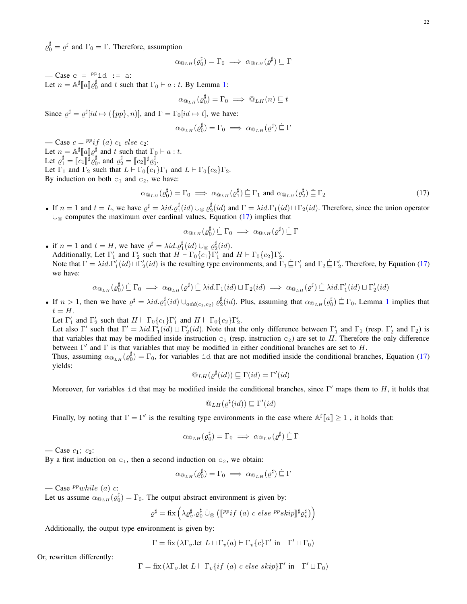$\varrho_0^{\sharp} = \varrho^{\sharp}$  and  $\Gamma_0 = \Gamma$ . Therefore, assumption

$$
\alpha_{\mathbb{Q}_{LH}}(\varrho_0^{\sharp}) = \Gamma_0 \implies \alpha_{\mathbb{Q}_{LH}}(\varrho^{\sharp}) \sqsubseteq \Gamma
$$

 $\overline{\phantom{a}}$  - Case c =  $P^{\text{p}}$ id := a: Let  $n = \mathbb{A}^{\sharp}[[a]] \varrho_0^{\sharp}$  and t such that  $\Gamma_0 \vdash a : t$ . By Lemma [1:](#page-7-2)

$$
\alpha_{\mathbb{Q}_{LH}}(\varrho_0^{\sharp}) = \Gamma_0 \implies \mathbb{Q}_{LH}(n) \sqsubseteq t
$$

Since  $\varrho^{\sharp} = \varrho^{\sharp} [id \mapsto (\{pp\}, n)]$ , and  $\Gamma = \Gamma_0 [id \mapsto t]$ , we have:

$$
\alpha_{\mathbb{Q}_{LH}}(\varrho_0^{\sharp}) = \Gamma_0 \implies \alpha_{\mathbb{Q}_{LH}}(\varrho^{\sharp}) \subseteq \Gamma
$$

— Case  $c = {^{pp}}if$  (a)  $c_1$  else  $c_2$ : Let  $n = \mathbb{A}^{\sharp}[\![a]\!] \varrho^{\sharp}$  and t such that  $\Gamma_0 \vdash a : t$ .<br>Let  $\varrho^{\sharp} = [\![a,\mathbb{B}] \!] \varrho^{\sharp}$  and  $\varrho^{\sharp} = [\![a,\mathbb{B}] \!] \varrho^{\sharp}$ . Let  $\varrho_1^{\sharp} = [\![c_1]\!]^{\sharp} \varrho_0^{\sharp}$ , and  $\varrho_2^{\sharp} = [\![c_2]\!]^{\sharp} \varrho_0^{\sharp}$ .<br>Let  $\Gamma_1$  and  $\Gamma_2$  such that  $I \models \Gamma_1$  (a) Let  $\Gamma_1$  and  $\Gamma_2$  such that  $L \vdash \Gamma_0 \{c_1\} \Gamma_1$  and  $L \vdash \Gamma_0 \{c_2\} \Gamma_2$ . By induction on both  $c_1$  and  $c_2$ , we have:

<span id="page-21-0"></span>
$$
\alpha_{\mathbb{Q}_{LH}}(\varrho_0^{\sharp}) = \Gamma_0 \implies \alpha_{\mathbb{Q}_{LH}}(\varrho_1^{\sharp}) \stackrel{\cdot}{\sqsubseteq} \Gamma_1 \text{ and } \alpha_{\mathbb{Q}_{LH}}(\varrho_2^{\sharp}) \stackrel{\cdot}{\sqsubseteq} \Gamma_2 \tag{17}
$$

• If  $n = 1$  and  $t = L$ , we have  $\varrho^{\sharp} = \lambda id \cdot \varrho_1^{\sharp}(id) \cup_{\otimes} \varrho_2^{\sharp}(id)$  and  $\Gamma = \lambda id \cdot \Gamma_1(id) \sqcup \Gamma_2(id)$ . Therefore, since the union operator ∪<sub>⊗</sub> computes the maximum over cardinal values, Equation [\(17\)](#page-21-0) implies that

$$
\alpha_{\mathbb{Q}_{LH}}(\varrho_0^{\sharp}) \underline{\dot{\sqsubseteq}} \Gamma_0 \implies \alpha_{\mathbb{Q}_{LH}}(\varrho^{\sharp}) \underline{\dot{\sqsubseteq}} \Gamma
$$

• if  $n = 1$  and  $t = H$ , we have  $\varrho^{\sharp} = \lambda id \cdot \varrho_1^{\sharp}(id) \cup_{\otimes} \varrho_2^{\sharp}(id)$ . Additionally, Let  $\Gamma'_1$  and  $\Gamma'_2$  such that  $H \vdash \Gamma_0\{c_1\}\Gamma'_1$  and  $H \vdash \Gamma_0\{c_2\}\Gamma'_2$ . Note that  $\Gamma = \lambda id \cdot \Gamma'_1(id) \sqcup \Gamma'_2(id)$  is the resulting type environments, and  $\Gamma_1 \subseteq \Gamma'_1$  and  $\Gamma_2 \subseteq \Gamma'_2$ . Therefore, by Equation [\(17\)](#page-21-0) we have:

$$
\alpha_{\mathbb{Q}_{LH}}(\varrho_0^{\sharp}) \subseteq \Gamma_0 \implies \alpha_{\mathbb{Q}_{LH}}(\varrho^{\sharp}) \subseteq \lambda id.\Gamma_1(id) \sqcup \Gamma_2(id) \implies \alpha_{\mathbb{Q}_{LH}}(\varrho^{\sharp}) \subseteq \lambda id.\Gamma'_1(id) \sqcup \Gamma'_2(id)
$$

• If  $n > 1$  $n > 1$ , then we have  $\varrho^{\sharp} = \lambda id \cdot \varrho_1^{\sharp}(id) \cup_{add(c_1, c_2)} \varrho_2^{\sharp}(id)$ . Plus, assuming that  $\alpha_{\mathfrak{S}_{LH}}(\varrho_0^{\sharp}) \subseteq \Gamma_0$ , Lemma 1 implies that  $t = H$ .

Let  $\Gamma'_1$  and  $\Gamma'_2$  such that  $H \vdash \Gamma_0\{c_1\}\Gamma'_1$  and  $H \vdash \Gamma_0\{c_2\}\Gamma'_2$ .

Let also  $\Gamma'$  such that  $\Gamma' = \lambda id \cdot \Gamma'_1(id) \sqcup \Gamma'_2(id)$ . Note that the only difference between  $\Gamma'_1$  and  $\Gamma_1$  (resp.  $\Gamma'_2$  and  $\Gamma_2$ ) is that variables that may be modified inside instruction  $c_1$  (resp. instruction  $c_2$ ) are set to H. Therefore the only difference between  $\Gamma'$  and  $\Gamma$  is that variables that may be modified in either conditional branches are set to H.

Thus, assuming  $\alpha_{\omega_{LH}}(\varrho_0^{\sharp}) = \Gamma_0$ , for variables id that are not modified inside the conditional branches, Equation [\(17\)](#page-21-0) yields:

$$
@_{LH}(\varrho^{\sharp}(id)) \sqsubseteq \Gamma(id) = \Gamma'(id)
$$

Moreover, for variables id that may be modified inside the conditional branches, since  $\Gamma'$  maps them to H, it holds that

$$
{}^{\textcircled{\tiny{\it D}}}_{LH}(\varrho^{\sharp}(id)) \sqsubseteq \Gamma'(id)
$$

Finally, by noting that  $\Gamma = \Gamma'$  is the resulting type environments in the case where  $\mathbb{A}^{\sharp}[a] \geq 1$ , it holds that:

$$
\alpha_{\mathbf{Q}_{LH}}(\varrho_0^{\sharp}) = \Gamma_0 \implies \alpha_{\mathbf{Q}_{LH}}(\varrho^{\sharp}) \stackrel{\scriptscriptstyle{\centerdot}}{=} \Gamma
$$

— Case  $c_1$ ;  $c_2$ :

By a first induction on  $c_1$ , then a second induction on  $c_2$ , we obtain:

$$
\alpha_{\mathbb{Q}_{LH}}(\varrho_0^{\sharp}) = \Gamma_0 \implies \alpha_{\mathbb{Q}_{LH}}(\varrho^{\sharp}) \subseteq \Gamma
$$

— Case  $^{pp}while (a) c$ :

Let us assume  $\alpha_{\mathbb{Q}_{LH}}(\varrho_0^{\sharp}) = \Gamma_0$ . The output abstract environment is given by:

$$
\varrho^{\sharp} = \mathrm{fix}\left(\lambda \varrho_v^{\sharp} \cdot \varrho_0^{\sharp} \cup_{\otimes} \left( \llbracket \mathit{PP} \mathit{if} \ (a) \ c \ \mathit{else} \ \mathit{PP} \mathit{skip} \rrbracket^{\sharp} \varrho_v^{\sharp} \right) \right)
$$

Additionally, the output type environment is given by:

$$
\Gamma = \text{fix}(\lambda \Gamma_v \text{.let } L \sqcup \Gamma_v(a) \vdash \Gamma_v\{c\} \Gamma' \text{ in } \Gamma' \sqcup \Gamma_0)
$$

Or, rewritten differently:

$$
\Gamma = \text{fix}(\lambda \Gamma_v \text{.} \text{let } L \vdash \Gamma_v \{ \text{if } (a) \text{ } c \text{ } \text{else } \text{ } \text{skip} \} \Gamma' \text{ in } \Gamma' \sqcup \Gamma_0)
$$